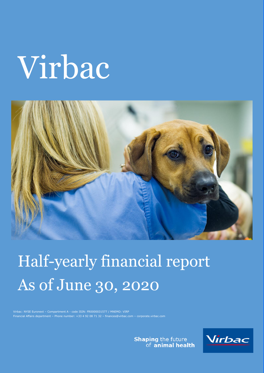# Virbac



## Half-yearly financial report As of June 30, 2020

Financial Affairs department – Phone number: +33 4 92 08 71 32 – finances@virbac.com – corporate.virbac.com

**Shaping the future**<br>of **animal health** 

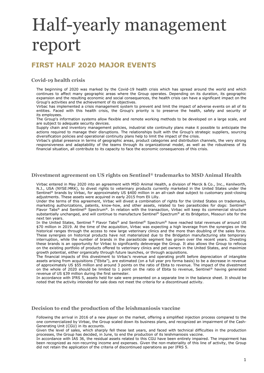## Half-yearly management report

## **FIRST HALF 2020 MAJOR EVENTS**

#### **Covid-19 health crisis**

The beginning of 2020 was marked by the Covid-19 health crisis which has spread around the world and which continues to affect many geographic areas where the Group operates. Depending on its duration, its geographic expansion and the resulting economic and social consequences, the health crisis can have a significant impact on the Group's activities and the achievement of its objectives.

Virbac has implemented a crisis management system to prevent and limit the impact of adverse events on all of its entities. Faced with this health crisis, the Group's priority is to preserve the health, safety and security of its employees.

The Group's information systems allow flexible and remote working methods to be developed on a large scale, and are subject to adequate security devices.

Supply chain and inventory management policies, industrial site continuity plans make it possible to anticipate the actions required to manage their disruptions. The relationships built with the Group's strategic suppliers, sourcing diversification policies and operational continuity plans help to limit the impact of the crisis.

Virbac's global presence in terms of geographic areas, product categories and distribution channels, the very strong responsiveness and adaptability of the teams through its organizational model, as well as the robustness of its financial situation, all contribute to its capacity to face the economic consequences of this crisis.

#### **Divestment agreement on US rights on Sentinel® trademarks to MSD Animal Health**

Virbac entered in May 2020 into an agreement with MSD Animal Health, a division of Merck & Co., Inc., Kenilworth, N.J., USA (NYSE:MRK), to divest rights to veterinary products currently marketed in the United States under the Sentinel® brands by Virbac, for approximately US \$400 million in an all-cash deal subject to customary post-closing adjustments. These assets were acquired in early 2015 from Eli Lilly.

Under the terms of this agreement, Virbac will divest a combination of rights for the United States on trademarks, marketing authorizations, patents, know-how, and other assets, related to two parasiticides for dogs: Sentinel® Flavor Tabs® and Sentinel® Spectrum®. In relation with the transaction, Virbac will keep its commercial structure substantially unchanged, and will continue to manufacture Sentinel® Spectrum® at its Bridgeton, Missouri site for the next ten years.

In the United States, Sentinel ® Flavor Tabs® and Sentinel® Spectrum® have reached total revenues of around US \$70 million in 2019. At the time of the acquisition, Virbac was expecting a high leverage from the synergies on the historical ranges through the access to new large veterinary clinics and the more than doubling of the sales force. These synergies on historical products have not materialized due to the Bridgeton manufacturing site temporary interruption, while the number of brands in the parasiticide segment has grown over the recent years. Divesting these brands is an opportunity for Virbac to significantly deleverage the Group. It also allows the Group to refocus on the existing portfolio of products offered to veterinary clinics and pet owners in the United States, and maximize growth potential, either organically through future launches, or through acquisitions.

The financial impacts of this divestment to Virbac's revenue and operating profit before depreciation of intangible assets arising from acquisitions ("Ebita"), are estimated (on a full year pro forma basis) to be a decrease in revenue of approximately US \$55 million and around 3 points on the ratio of Ebita to revenue. The impact of the divestment on the whole of 2020 should be limited to 1 point on the ratio of Ebita to revenue, Sentinel® having generated revenue of US \$39 million during the first semester.

In accordance with IFRS 5, assets held for sale were presented on a separate line in the balance sheet. It should be noted that the activity intended for sale does not meet the criteria for a discontinued activity.

#### **Decision to end the production of the leishmaniosis vaccine**

Following the arrival in 2016 of a new player on the market, offering a simplified injection process compared to the one commercialized by Virbac, the Group scaled down its business plans, and recognized an impairment of the Cash-Generating Unit (CGU) in its accounts.

Given the level of sales, which sharply fell these last years, and faced with technical difficulties in the production processes, the Group has decided, in June, to end the production of its leishmaniosis vaccine.

In accordance with IAS 36, the residual assets related to this CGU have been entirely impaired. The impairment has been recognized as non-recurring income and expenses. Given the non-materiality of this line of activity, the Group did not retain the application of the criteria of discontinued operations as per IFRS 5.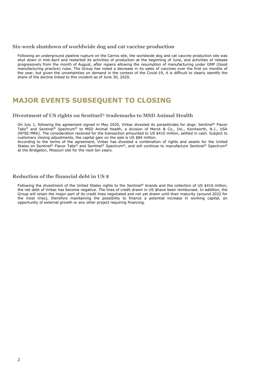#### **Six-week shutdown of worldwide dog and cat vaccine production**

Following an underground pipeline rupture on the Carros site, the worldwide dog and cat vaccine production site was shut down in mid-April and restarted its activities of production at the beginning of June, and activities of release progressively from the month of August, after repairs allowing the resumption of manufacturing under GMP (Good manufacturing practice) rules. The Group has noted a decrease in its sales of vaccines over the first six months of the year, but given the uncertainties on demand in the context of the Covid-19, it is difficult to clearly identify the share of the decline linked to this incident as of June 30, 2020.

## **MAJOR EVENTS SUBSEQUENT TO CLOSING**

#### **Divestment of US rights on Sentinel® trademarks to MSD Animal Health**

On July 1, following the agreement signed in May 2020, Virbac divested its parasiticides for dogs: Sentinel® Flavor Tabs® and Sentinel® Spectrum® to MSD Animal Health, a division of Merck & Co., Inc., Kenilworth, N.J., USA (NYSE:MRK). The consideration received for the transaction amounted to US \$410 million, settled in cash. Subject to customary closing adjustments, the capital gain on the sale is US \$84 million.

According to the terms of the agreement, Virbac has divested a combination of rights and assets for the United States on Sentinel® Flavor Tabs® and Sentinel® Spectrum®, and will continue to manufacture Sentinel® Spectrum® at the Bridgeton, Missouri site for the next ten years.

#### **Reduction of the financial debt in US \$**

Following the divestment of the United States rights to the Sentinel® brands and the collection of US \$410 million, the net debt of Virbac has become negative. The lines of credit drawn in US \$have been reimbursed. In addition, the Group will retain the major part of its credit lines negotiated and not yet drawn until their maturity (around 2022 for the most lines), therefore maintaining the possibility to finance a potential increase in working capital, an opportunity of external growth or any other project requiring financing.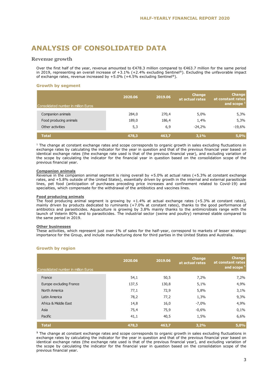## **ANALYSIS OF CONSOLIDATED DATA**

#### **Revenue growth**

Over the first half of the year, revenue amounted to €478.3 million compared to €463.7 million for the same period in 2019, representing an overall increase of +3.1% (+2.4% excluding Sentinel®). Excluding the unfavorable impact of exchange rates, revenue increased by  $+5.0\%$  ( $+4.5\%$  excluding Sentinel®).

#### **Growth by segment**

| Consolidated number in million Euros | 2020.06 | 2019.06 | <b>Change</b><br>at actual rates | <b>Change</b><br>at constant rates<br>and scope 1 |
|--------------------------------------|---------|---------|----------------------------------|---------------------------------------------------|
| Companion animals                    | 284,0   | 270,4   | 5,0%                             | 5,3%                                              |
| Food producing animals               | 189,0   | 186,4   | 1,4%                             | 5,3%                                              |
| Other activities                     | 5,3     | 6,9     | $-24,2%$                         | $-19,6%$                                          |
| <b>Total</b>                         | 478,3   | 463,7   | 3,1%                             | 5,0%                                              |

#### **Companion animals**

#### **Food producing animals**

#### **Other businesses**

#### **Growth by region**

| Consolidated number in million Euros                                                                                                                                                                                                                                                                                                                                                                                                                                                                                             |         |         |                           |                                    |
|----------------------------------------------------------------------------------------------------------------------------------------------------------------------------------------------------------------------------------------------------------------------------------------------------------------------------------------------------------------------------------------------------------------------------------------------------------------------------------------------------------------------------------|---------|---------|---------------------------|------------------------------------|
| Companion animals                                                                                                                                                                                                                                                                                                                                                                                                                                                                                                                | 284,0   | 270,4   | 5,0%                      | 5,3%                               |
| Food producing animals                                                                                                                                                                                                                                                                                                                                                                                                                                                                                                           | 189,0   | 186,4   | 1,4%                      | 5,3%                               |
| Other activities                                                                                                                                                                                                                                                                                                                                                                                                                                                                                                                 | 5,3     | 6,9     | $-24,2%$                  | $-19,6%$                           |
| <b>Total</b>                                                                                                                                                                                                                                                                                                                                                                                                                                                                                                                     | 478,3   | 463,7   | 3,1%                      | 5,0%                               |
| $^1$ The change at constant exchange rates and scope corresponds to organic growth in sales excluding fluctuations in<br>exchange rates by calculating the indicator for the year in question and that of the previous financial year based on<br>identical exchange rates (the exchange rate used is that of the previous financial year), and excluding variation of<br>the scope by calculating the indicator for the financial year in question based on the consolidation scope of the<br>previous financial year.          |         |         |                           |                                    |
| <b>Companion animals</b><br>Revenue in the companion animal segment is rising overall by +5.0% at actual rates (+5.3% at constant exchange<br>rates, and +5.8% outside of the United States), essentially driven by growth in the internal and external parasiticide<br>lines, pet food (anticipation of purchases preceding price increases and confinement related to Covid-19) and<br>specialties, which compensate for the withdrawal of the antibiotics and vaccines lines.                                                 |         |         |                           |                                    |
| <b>Food producing animals</b><br>The food producing animal segment is growing by $+1.4\%$ at actual exchange rates ( $+5.3\%$ at constant rates),<br>mainly driven by products dedicated to ruminants (+7.0% at constant rates), thanks to the good performance of<br>antibiotics and parasiticides. Aquaculture is growing by 3.8% mainly thanks to the antimicrobials range with the<br>launch of Veterin 80% and to parasiticides. The industrial sector (swine and poultry) remained stable compared to                      |         |         |                           |                                    |
| the same period in 2019.<br><b>Other businesses</b>                                                                                                                                                                                                                                                                                                                                                                                                                                                                              |         |         |                           |                                    |
| These activities, which represent just over 1% of sales for the half-year, correspond to markets of lesser strategic<br>importance for the Group, and include manufacturing done for third parties in the United States and Australia.                                                                                                                                                                                                                                                                                           |         |         |                           |                                    |
| <b>Growth by region</b>                                                                                                                                                                                                                                                                                                                                                                                                                                                                                                          |         |         |                           |                                    |
|                                                                                                                                                                                                                                                                                                                                                                                                                                                                                                                                  | 2020.06 | 2019.06 | Change<br>at actual rates | <b>Change</b><br>at constant rates |
| Consolidated number in million Euros                                                                                                                                                                                                                                                                                                                                                                                                                                                                                             |         |         |                           | and scope $1$                      |
| France                                                                                                                                                                                                                                                                                                                                                                                                                                                                                                                           | 54,1    | 50, 5   | 7,2%                      | 7,2%                               |
| Europe excluding France                                                                                                                                                                                                                                                                                                                                                                                                                                                                                                          | 137,5   | 130,8   | 5,1%                      | 4,9%                               |
| North America                                                                                                                                                                                                                                                                                                                                                                                                                                                                                                                    | 77,1    | 72,9    | 5,8%                      | 3,1%                               |
| Latin America                                                                                                                                                                                                                                                                                                                                                                                                                                                                                                                    | 78,2    | 77,2    | 1,3%                      | 9,3%                               |
| Africa & Middle East                                                                                                                                                                                                                                                                                                                                                                                                                                                                                                             | 14,8    | 16,0    | $-7,0%$                   | 4,9%                               |
| Asia                                                                                                                                                                                                                                                                                                                                                                                                                                                                                                                             | 75,4    | 75,9    | $-0,6%$                   | 0,1%                               |
| Pacific                                                                                                                                                                                                                                                                                                                                                                                                                                                                                                                          | 41,1    | 40,5    | 1,5%                      | 6,6%                               |
| <b>Total</b>                                                                                                                                                                                                                                                                                                                                                                                                                                                                                                                     | 478,3   | 463,7   | 3,2%                      | 5,0%                               |
| $^{\text{1}}$ The change at constant exchange rates and scope corresponds to organic growth in sales excluding fluctuations in<br>exchange rates by calculating the indicator for the year in question and that of the previous financial year based on<br>identical exchange rates (the exchange rate used is that of the previous financial year), and excluding variation of<br>the scope by calculating the indicator for the financial year in question based on the consolidation scope of the<br>previous financial year. |         |         |                           |                                    |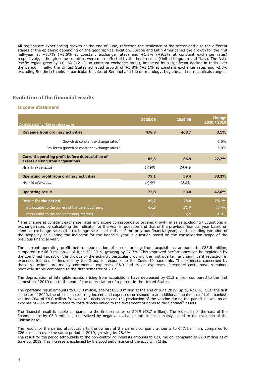All regions are experiencing growth at the end of June, reflecting the resilience of the sector and also the different stages of the epidemic depending on the geographical location. Europe and Latin America led the growth for the first half-year at +5.7% (+5.5% at constant exchange rates) and +1.3% (+9.3% at constant exchange rates) respectively, although some countries were more affected by the health crisis (United Kingdom and Italy). The Asia-Pacific region grew by +0.1% (+2.4% at constant exchange rates), impacted by a significant decline in India over the period. Finally, the United States achieved growth of +5.8% (+3.1% at constant exchange rates and -2.8% excluding Sentinel) thanks in particular to sales of Sentinel and the dermatology, hygiene and nutraceuticals ranges.

#### **Evolution of the financial results**

#### **Income statement**

| Consolidated number in million Euros                                                     | 2020.06 | 2019.06 | <b>Change</b><br>2020 / 2019 |
|------------------------------------------------------------------------------------------|---------|---------|------------------------------|
| <b>Revenue from ordinary activities</b>                                                  | 478,3   | 463,7   | 3,1%                         |
| Growth at constant exchange rates $1$<br>Pro-forma growth at constant exchange rates $1$ |         |         | 5,0%<br>5,0%                 |
| Current operating profit before depreciation of<br>assets arising from acquisitions      | 85,5    | 66,9    | 27,7%                        |
| As a % of revenue                                                                        | 17,9%   | 14,4%   |                              |
| <b>Operating profit from ordinary activities</b>                                         | 79,1    | 59,4    | 33,2%                        |
| As a % of revenue                                                                        | 16,5%   | 12,8%   |                              |
| <b>Operating result</b>                                                                  | 73,8    | 50,0    | 47,6%                        |
| <b>Result for the period</b>                                                             | 49,7    | 28,4    | 75,1%                        |
| attributable to the owners of the parent company                                         | 47,2    | 26,4    | 78,4%                        |
| attributable to the non-controlling interests                                            | 2,6     | 2,0     | 31,0%                        |

**<sup>1</sup>** The change at constant exchange rates and scope corresponds to organic growth in sales excluding fluctuations in exchange rates by calculating the indicator for the year in question and that of the previous financial year based on identical exchange rates (the exchange rate used is that of the previous financial year), and excluding variation of the scope by calculating the indicator for the financial year in question based on the consolidation scope of the previous financial year.

The current operating profit before depreciation of assets arising from acquisitions amounts to €85.5 million, compared to €66.9 million as of June 30, 2019, growing by 27.7%. This improved performance can be explained by the combined impact of the growth of the activity, particularly during the first quarter, and significant reduction in expenses initiated or incurred by the Group in response to the Covid-19 pandemic. The expenses concerned by these reductions are mainly commercial expenses, R&D and travel expenses. Personnel costs have remained relatively stable compared to the first semester of 2019.

The depreciation of intangible assets arising from acquisitions have decreased by €1.2 million compared to the first semester of 2019 due to the end of the depreciation of a patent in the United States.

The operating result amounts to €73.8 million, against €50.0 million at the end of June 2019, up by 47.6 %. Over the first semester of 2020, the other non-recurring income and expenses correspond to an additional impairment of Leishmaniosis vaccine CGU of €4.8 million following the decision to end the production of the vaccine during the period, as well as an expense of €0.6 million related to costs directly linked to the divestment of rights to the Sentinel® assets.

The financial result is stable compared to the first semester of 2019 ( $\epsilon$ 8.7 million). The reduction of the cost of the financial debt by €3.0 million is neutralized by negative exchange rate impacts mainly linked to the evolution of the Chilean peso.

The result for the period attributable to the owners of the parent company amounts to €47.2 million, compared to €26.4 million over the same period in 2019, growing by 78.4%.

The result for the period attributable to the non-controlling interests amounts to €2.6 million, compared to €2.0 million as of June 30, 2019. This increase is explained by the good performance of the activity in Chile.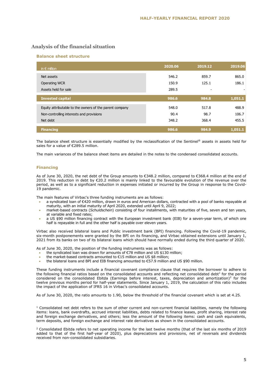#### **Analysis of the financial situation**

#### **Balance sheet structure**

| in $\epsilon$ million                                   | 2020.06 | 2019.12 | 2019.06 |
|---------------------------------------------------------|---------|---------|---------|
| Net assets                                              | 546.2   | 859.7   | 865.0   |
| <b>Operating WCR</b>                                    | 150.9   | 125.1   | 186.1   |
| Assets held for sale                                    | 289.5   |         |         |
| <b>Invested capital</b>                                 | 986.6   | 984.8   | 1,051.1 |
| Equity attributable to the owners of the parent company | 548.0   | 517.8   | 488.9   |
| Non-controlling interests and provisions                | 90.4    | 98.7    | 106.7   |
| Net debt                                                | 348.2   | 368.4   | 455.5   |
| <b>Financing</b>                                        | 986.6   | 984.9   | 1,051.1 |

The balance sheet structure is essentially modified by the reclassification of the Sentinel® assets in assets held for sales for a value of €289.5 million.

The main variances of the balance sheet items are detailed in the notes to the condensed consolidated accounts.

#### **Financing**

As of June 30, 2020, the net debt of the Group amounts to €348.2 million, compared to €368.4 million at the end of 2019. This reduction in debt by €20.2 million is mainly linked to the favourable evolution of the revenue over the period, as well as to a significant reduction in expenses initiated or incurred by the Group in response to the Covid-19 pandemic.

The main features of Virbac's three funding instruments are as follows:

- a syndicated loan of €420 million, drawn in euros and American dollars, contracted with a pool of banks repayable at maturity, with an initial maturity of April 2020, extended until April 9, 2022;
- market-based contracts (*Schuldschein*) consisting of four installments, with maturities of five, seven and ten years, at variable and fixed rates;
- a US \$90 million financing contract with the European investment bank (EIB) for a seven-year term, of which one half is repayable in full and the other half is payable over eleven years.

Virbac also received bilateral loans and Public investment bank (BPI) financing. Following the Covid-19 pandemic, six-month postponements were granted by the BPI on its financing, and Virbac obtained extensions until January 1, 2021 from its banks on two of its bilateral loans which should have normally ended during the third quarter of 2020.

As of June 30, 2020, the position of the funding instruments was as follows:

- the syndicated loan was drawn for amounts of €78 million and US \$130 million;
- the market-based contracts amounted to  $€15$  million and US \$8 million;<br>• the bilateral loans and BPI and EIB financing amounted to  $€57.9$  million
- the bilateral loans and BPI and EIB financing amounted to €57.9 million and US \$90 million.

These funding instruments include a financial covenant compliance clause that requires the borrower to adhere to the following financial ratios based on the consolidated accounts and reflecting net consolidated debt<sup>1</sup> for the period considered on the consolidated Ebitda (Earnings before interest, taxes, depreciation and amortization)<sup>2</sup> for the twelve previous months period for half-year statements. Since January 1, 2019, the calculation of this ratio includes the impact of the application of IFRS 16 in Virbac's consolidated accounts.

As of June 30, 2020, the ratio amounts to 1.90, below the threshold of the financial covenant which is set at 4.25.

 $1$  Consolidated net debt refers to the sum of other current and non-current financial liabilities, namely the following items: loans, bank overdrafts, accrued interest liabilities, debts related to finance leases, profit sharing, interest rate and foreign exchange derivatives, and others; less the amount of the following items: cash and cash equivalents, term deposits, and foreign exchange and interest rate derivatives as shown in the consolidated accounts.

<sup>2</sup> Consolidated Ebitda refers to net operating income for the last twelve months (that of the last six months of 2019 added to that of the first half-year of 2020), plus depreciations and provisions, net of reversals and dividends received from non-consolidated subsidiaries.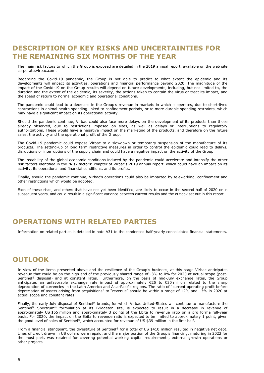## **DESCRIPTION OF KEY RISKS AND UNCERTAINTIES FOR THE REMAINING SIX MONTHS OF THE YEAR**

The main risk factors to which the Group is exposed are detailed in the 2019 annual report, available on the web site corporate.virbac.com.

Regarding the Covid-19 pandemic, the Group is not able to predict to what extent the epidemic and its developments will impact its activities, operations and financial performance beyond 2020. The magnitude of the impact of the Covid-19 on the Group results will depend on future developments, including, but not limited to, the duration and the extent of the epidemic, its severity, the actions taken to contain the virus or treat its impact, and the speed of return to normal economic and operational conditions.

The pandemic could lead to a decrease in the Group's revenue in markets in which it operates, due to short-lived contractions in animal health spending linked to confinement periods, or to more durable spending restraints, which may have a significant impact on its operational activity.

Should the pandemic continue, Virbac could also face more delays on the development of its products than those already observed, due to restrictions imposed on sites, as well as delays or interruptions to regulatory authorizations. These would have a negative impact on the marketing of the products, and therefore on the future sales, the activity and the operational profit of the Group.

The Covid-19 pandemic could expose Virbac to a slowdown or temporary suspension of the manufacture of its products. The setting-up of long term restrictive measures in order to control the epidemic could lead to delays, disruptions or interruptions of the supply chain and could have a negative impact on the activity of the Group.

The instability of the global economic conditions induced by the pandemic could accelerate and intensify the other risk factors identified in the "Risk factors" chapter of Virbac's 2019 annual report, which could have an impact on its activity, its operational and financial conditions, and its profits.

Finally, should the pandemic continue, Virbac's operations could also be impacted by teleworking, confinement and other restrictions which would be adopted.

Each of these risks, and others that have not yet been identified, are likely to occur in the second half of 2020 or in subsequent years, and could result in a significant variance between current results and the outlook set out in this report.

## **OPERATIONS WITH RELATED PARTIES**

Information on related parties is detailed in note A31 to the condensed half-yearly consolidated financial statements.

## **OUTLOOK**

In view of the items presented above and the resilience of the Group's business, at this stage Virbac anticipates revenue that could be on the high end of the previously shared range of -3% to 0% for 2020 at actual scope (post-Sentinel® disposal) and at constant rates. Furthermore, on the basis of mid-July exchange rates, the Group anticipates an unfavorable exchange rate impact of approximately €25 to €30 million related to the sharp depreciation of currencies in the Latin America and Asia-Pacific regions. The ratio of "current operating profit before depreciation of assets arising from acquisitions" to "revenue" should be within a range of 12% and 13% in 2020 at actual scope and constant rates.

Finally, the early July disposal of Sentinel® brands, for which Virbac United-States will continue to manufacture the Sentinel® Spectrum® formulation at its Bridgeton site, is expected to result in a decrease in revenue of approximately US \$55 million and approximately 3 points of the Ebita to revenue ratio on a pro forma full-year basis. For 2020, the impact on the Ebita to revenue ratio is expected to be limited to approximately 1 point, given the good level of sales of Sentinel®, which accounted for revenue of US \$39 million in the first half.

From a financial standpoint, the divestiture of Sentinel® for a total of US \$410 million resulted in negative net debt. Lines of credit drawn in US dollars were repaid, and the major portion of the Group's financing, maturing in 2022 for the most part, was retained for covering potential working capital requirements, external growth operations or other projects.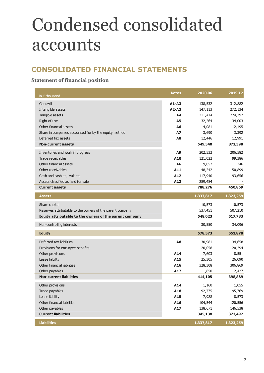## Condensed consolidated accounts

## **CONSOLIDATED FINANCIAL STATEMENTS**

## **Statement of financial position**

| in $\epsilon$ thousand                                    | <b>Notes</b> | 2020.06   | 2019.12   |
|-----------------------------------------------------------|--------------|-----------|-----------|
| Goodwill                                                  | $A1 - A3$    | 138,532   | 312,882   |
| Intangible assets                                         | $A2 - A3$    | 147,113   | 272,134   |
| Tangible assets                                           | Α4           | 211,414   | 224,792   |
| Right of use                                              | A5           | 32,264    | 34,003    |
| Other financial assets                                    | A6           | 4,081     | 12,195    |
| Share in companies accounted for by the equity method     | A7           | 3,690     | 3,392     |
| Deferred tax assets                                       | A8           | 12,446    | 12,991    |
| <b>Non-current assets</b>                                 |              | 549,540   | 872,390   |
| Inventories and work in progress                          | A9           | 202,532   | 206,582   |
| Trade receivables                                         | A10          | 121,022   | 99,386    |
| Other financial assets                                    | A6           | 9,057     | 346       |
| Other receivables                                         | A11          | 48,242    | 50,899    |
| Cash and cash equivalents                                 | A12          | 117,940   | 93,656    |
| Assets classified as held for sale                        | A13          | 289,484   |           |
| <b>Current assets</b>                                     |              | 788,276   | 450,869   |
| <b>Assets</b>                                             |              | 1,337,817 | 1,323,259 |
| Share capital                                             |              | 10,573    | 10,573    |
| Reserves attributable to the owners of the parent company |              | 537,451   | 507,210   |
| Equity attributable to the owners of the parent company   |              | 548,023   | 517,783   |
| Non-controlling interests                                 |              | 30,550    | 34,096    |
| <b>Equity</b>                                             |              | 578,573   | 551,878   |
| Deferred tax liabilities                                  | A8           | 30,981    | 34,658    |
| Provisions for employee benefits                          |              | 20,058    | 20,294    |
| Other provisions                                          | A14          | 7,603     | 8,551     |
| Lease liability                                           | A15          | 25,305    | 26,090    |
| Other financial liabilities                               | A16          | 328,308   | 306,869   |
| Other payables                                            | A17          | 1,850     | 2,427     |
| <b>Non-current liabilities</b>                            |              | 414,105   | 398,889   |
| Other provisions                                          | A14          | 1,160     | 1,055     |
| Trade payables                                            | A18          | 92,775    | 95,769    |
| Lease liability                                           | A15          | 7,988     | 8,573     |
| Other financial liabilities                               | A16          | 104,544   | 120,556   |
| Other payables                                            | A17          | 138,671   | 146,538   |
| <b>Current liabilities</b>                                |              | 345,138   | 372,492   |
| <b>Liabilities</b>                                        |              | 1,337,817 | 1,323,259 |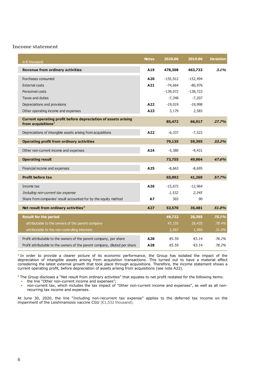#### **Income statement**

| in $\epsilon$ thousand                                                                           | <b>Notes</b> | 2020.06    | 2019.06    | Variation |
|--------------------------------------------------------------------------------------------------|--------------|------------|------------|-----------|
| <b>Revenue from ordinary activities</b>                                                          | A19          | 478,308    | 463,733    | 3.1%      |
| Purchases consumed                                                                               | A20          | $-155,912$ | $-152,494$ |           |
| <b>External costs</b>                                                                            | A21          | $-74,664$  | $-80,976$  |           |
| Personnel costs                                                                                  |              | $-139,072$ | $-138,723$ |           |
| Taxes and duties                                                                                 |              | $-7,348$   | $-7,207$   |           |
| Depreciations and provisions                                                                     | A22          | $-19,019$  | $-19,998$  |           |
| Other operating income and expenses                                                              | A23          | 3,179      | 2,583      |           |
| Current operating profit before depreciation of assets arising<br>from acquisitions <sup>1</sup> |              | 85,472     | 66,917     | 27.7%     |
| Depreciations of intangible assets arising from acquisitions                                     | A22          | $-6,337$   | $-7,522$   |           |
| <b>Operating profit from ordinary activities</b>                                                 |              | 79,135     | 59,395     | 33.2%     |
| Other non-current income and expenses                                                            | A24          | $-5,380$   | $-9,431$   |           |
| <b>Operating result</b>                                                                          |              | 73,755     | 49,964     | 47.6%     |
| Financial income and expenses                                                                    | A25          | $-8,663$   | $-8,695$   |           |
| <b>Profit before tax</b>                                                                         |              | 65,092     | 41,269     | 57.7%     |
| Income tax                                                                                       | A26          | $-15,672$  | $-12,964$  |           |
| Including non-current tax expense                                                                |              | 1,532      | 2,345      |           |
| Share from companies' result accounted for by the equity method                                  | <b>A7</b>    | 303        | 90         |           |
| Net result from ordinary activities <sup>2</sup>                                                 | A27          | 53,570     | 35,481     | 51.0%     |
| <b>Result for the period</b>                                                                     |              | 49,722     | 28,395     | 75.1%     |
| attributable to the owners of the parent company                                                 |              | 47,155     | 26,435     | 78.4%     |
| attributable to the non-controlling interests                                                    |              | 2,567      | 1,960      | 31.0%     |
| Profit attributable to the owners of the parent company, per share                               | A28          | €5.59      | €3.14      | 78.2%     |
| Profit attributable to the owners of the parent company, diluted per share                       | A28          | €5.59      | €3.14      | 78.2%     |

<sup>1</sup> In order to provide a clearer picture of its economic performance, the Group has isolated the impact of the depreciation of intangible assets arising from acquisition transactions. This turned out to have a material effect considering the latest external growth that took place through acquisitions. Therefore, the income statement shows a current operating profit, before depreciation of assets arising from acquisitions (see note A22).

<sup>2</sup> The Group discloses a "Net result from ordinary activities" that equates to net profit restated for the following items:

- the line "Other non-current income and expenses";
- non-current tax, which includes the tax impact of "Other non-current income and expenses", as well as all nonrecurring tax income and expenses.

At June 30, 2020, the line "Including non-recurrent tax expense" applies to the deferred tax income on the impairment of the Leishmaniosis vaccine CGU (€1,532 thousand).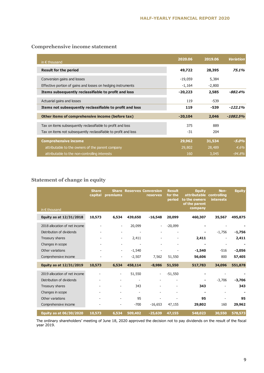## **Comprehensive income statement**

| in $\epsilon$ thousand                                          | 2020.06   | 2019.06  | Variation  |
|-----------------------------------------------------------------|-----------|----------|------------|
| <b>Result for the period</b>                                    | 49,722    | 28,395   | 75.1%      |
| Conversion gains and losses                                     | $-19,059$ | 5,384    |            |
| Effective portion of gains and losses on hedging instruments    | $-1,164$  | $-2,800$ |            |
| Items subsequently reclassifiable to profit and loss            | $-20,223$ | 2,585    | -882.4%    |
| Actuarial gains and losses                                      | 119       | $-539$   |            |
| Items not subsequently reclassifiable to profit and loss        | 119       | -539     | $-122.1\%$ |
| Other items of comprehensive income (before tax)                | $-20,104$ | 2,046    | $-1082.5%$ |
| Tax on items subsequently reclassifiable to profit and loss     | 375       | 889      |            |
| Tax on items not subsequently reclassifiable to profit and loss | $-31$     | 204      |            |
| <b>Comprehensive income</b>                                     | 29,962    | 31,534   | $-5.0%$    |
| attributable to the owners of the parent company                | 29,802    | 28,489   | 4.6%       |
| attributable to the non-controlling interests                   | 160       | 3,045    | $-94.8%$   |

## **Statement of change in equity**

|                                | <b>Share</b><br>capital | premiums                 |                          | <b>Share Reserves Conversion</b><br>reserves | <b>Result</b><br>for the<br>period | <b>Equity</b><br>attributable<br>to the owners<br>of the parent | Non-<br>controlling<br><b>interests</b> | <b>Equity</b> |
|--------------------------------|-------------------------|--------------------------|--------------------------|----------------------------------------------|------------------------------------|-----------------------------------------------------------------|-----------------------------------------|---------------|
| in $\epsilon$ thousand         |                         |                          |                          |                                              |                                    | company                                                         |                                         |               |
| Equity as at 12/31/2018        | 10,573                  | 6,534                    | 439,650                  | $-16,548$                                    | 20,099                             | 460,307                                                         | 35,567                                  | 495,875       |
| 2018 allocation of net income  |                         | $\overline{\phantom{0}}$ | 20,099                   |                                              | $-20,099$                          |                                                                 |                                         |               |
| Distribution of dividends      |                         | $\overline{\phantom{a}}$ |                          |                                              |                                    |                                                                 | $-1,756$                                | $-1,756$      |
| Treasury shares                |                         | $\overline{\phantom{a}}$ | 2,411                    |                                              |                                    | 2,411                                                           |                                         | 2,411         |
| Changes in scope               |                         | $\overline{\phantom{0}}$ |                          |                                              |                                    |                                                                 |                                         |               |
| Other variations               |                         | $\overline{\phantom{a}}$ | $-1,540$                 |                                              |                                    | $-1,540$                                                        | $-516$                                  | $-2,056$      |
| Comprehensive income           |                         | $\overline{\phantom{0}}$ | $-2,507$                 | 7,562                                        | 51,550                             | 56,606                                                          | 800                                     | 57,405        |
| Equity as at 12/31/2019        | 10,573                  | 6,534                    | 458,114                  | $-8,986$                                     | 51,550                             | 517,783                                                         | 34,096                                  | 551,878       |
| 2019 allocation of net income  |                         |                          | 51,550                   |                                              | $-51,550$                          |                                                                 |                                         |               |
| Distribution of dividends      |                         |                          | $\overline{\phantom{0}}$ |                                              |                                    | ۰                                                               | $-3,706$                                | $-3,706$      |
| Treasury shares                |                         |                          | 343                      |                                              |                                    | 343                                                             |                                         | 343           |
| Changes in scope               |                         |                          |                          |                                              |                                    |                                                                 |                                         |               |
| Other variations               |                         |                          | 95                       |                                              |                                    | 95                                                              |                                         | 95            |
| Comprehensive income           |                         |                          | $-700$                   | $-16,653$                                    | 47,155                             | 29,802                                                          | 160                                     | 29,962        |
| <b>Equity as at 06/30/2020</b> | 10,573                  | 6,534                    | 509,402                  | $-25,639$                                    | 47,155                             | 548,023                                                         | 30,550                                  | 578,573       |

The ordinary shareholders' meeting of June 18, 2020 approved the decision not to pay dividends on the result of the fiscal year 2019.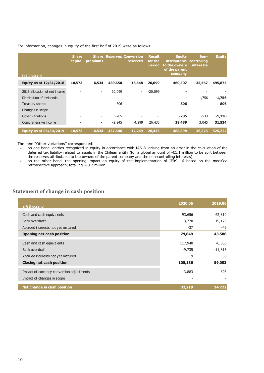For information, changes in equity of the first half of 2019 were as follows:

| in $\epsilon$ thousand        | <b>Share</b><br>capital  | premiums                 |                          | <b>Share Reserves Conversion</b><br><b>reserves</b> | <b>Result</b><br>for the<br>period | <b>Equity</b><br>attributable controlling<br>to the owners<br>of the parent<br>company | Non-<br><b>interests</b> | <b>Equity</b> |
|-------------------------------|--------------------------|--------------------------|--------------------------|-----------------------------------------------------|------------------------------------|----------------------------------------------------------------------------------------|--------------------------|---------------|
| Equity as at 12/31/2018       | 10,573                   | 6,534                    | 439,650                  | $-16,548$                                           | 20,099                             | 460,307                                                                                | 35,567                   | 495,875       |
| 2018 allocation of net income |                          | $\overline{\phantom{a}}$ | 20,099                   | $\overline{\phantom{0}}$                            | $-20,099$                          |                                                                                        |                          |               |
| Distribution of dividends     | $\overline{\phantom{a}}$ | $\overline{\phantom{a}}$ | $\overline{\phantom{a}}$ | $\overline{\phantom{0}}$                            | -                                  | ۰                                                                                      | $-1,756$                 | $-1,756$      |
| Treasury shares               | $\overline{\phantom{a}}$ | $\overline{\phantom{a}}$ | 806                      | $\overline{\phantom{0}}$                            | $\qquad \qquad -$                  | 806                                                                                    | $\overline{\phantom{a}}$ | 806           |
| Changes in scope              | $\overline{\phantom{a}}$ |                          | $\overline{\phantom{a}}$ | -                                                   | $\overline{\phantom{0}}$           | ۰                                                                                      | $\overline{\phantom{0}}$ |               |
| Other variations              | $\overline{\phantom{a}}$ | $\overline{\phantom{a}}$ | $-705$                   | $\overline{\phantom{0}}$                            |                                    | $-705$                                                                                 | $-533$                   | $-1,238$      |
| Comprehensive income          | $\overline{a}$           | $\overline{\phantom{a}}$ | $-2,245$                 | 4,299                                               | 26,435                             | 28,489                                                                                 | 3,045                    | 31,534        |
| Equity as at 06/30/2019       | 10,573                   | 6,534                    | 457,606                  | $-12,249$                                           | 26,435                             | 488,898                                                                                | 36,323                   | 525,222       |

The item "Other variations" corresponded:

- on one hand, entries recognized in equity in accordance with IAS 8, arising from an error in the calculation of the deferred tax liability related to assets in the Chilean entity (for a global amount of -€1.1 million to be split between the reserves attributable to the owners of the parent company and the non-controlling interests);
- on the other hand, the opening impact on equity of the implementation of IFRS 16 based on the modified retrospective approach, totalling -€0.2 million.

#### **Statement of change in cash position**

| in $\epsilon$ thousand                    | 2020.06   | 2019.06   |
|-------------------------------------------|-----------|-----------|
| Cash and cash equivalents                 | 93,656    | 62,810    |
| Bank overdraft                            | $-13,770$ | $-19,173$ |
| Accrued interests not yet matured         | $-37$     | $-49$     |
| <b>Opening net cash position</b>          | 79,849    | 43,588    |
| Cash and cash equivalents                 | 117,940   | 70,866    |
| Bank overdraft                            | $-9,735$  | $-11,813$ |
| Accrued interests not yet matured         | $-19$     | $-50$     |
| <b>Closing net cash position</b>          | 108,186   | 59,003    |
| Impact of currency conversion adjustments | $-3,883$  | 693       |
| Impact of changes in scope                |           |           |
| Net change in cash position               | 32,219    | 14,722    |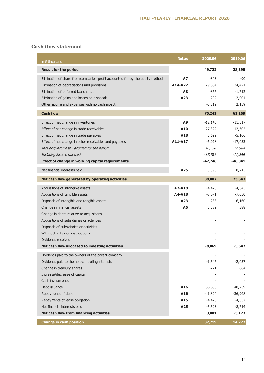### **Cash flow statement**

| in $\epsilon$ thousand                                                         | <b>Notes</b> | 2020.06   | 2019.06   |
|--------------------------------------------------------------------------------|--------------|-----------|-----------|
| <b>Result for the period</b>                                                   |              | 49,722    | 28,395    |
| Elimination of share from companies' profit accounted for by the equity method | A7           | $-303$    | -90       |
| Elimination of depreciations and provisions                                    | A14-A22      | 29,804    | 34,421    |
| Elimination of deferred tax change                                             | Α8           | -866      | $-1,712$  |
| Elimination of gains and losses on disposals                                   | A23          | 202       | $-2,004$  |
| Other income and expenses with no cash impact                                  |              | $-3,319$  | 2,159     |
| <b>Cash flow</b>                                                               |              | 75,241    | 61,169    |
| Effect of net change in inventories                                            | Α9           | $-12,145$ | $-11,517$ |
| Effect of net change in trade receivables                                      | A10          | $-27,322$ | $-12,605$ |
| Effect of net change in trade payables                                         | A18          | 3,699     | $-5,166$  |
| Effect of net change in other receivables and payables                         | A11-A17      | $-6,978$  | $-17,053$ |
| Including income tax accrued for the period                                    |              | 16,538    | 12,964    |
| Including income tax paid                                                      |              | -17,761   | $-11,256$ |
| <b>Effect of change in working capital requirements</b>                        |              | $-42,746$ | $-46,341$ |
| Net financial interests paid                                                   | A25          | 5,593     | 8,715     |
| Net cash flow generated by operating activities                                |              | 38,087    | 23,543    |
| Acquisitions of intangible assets                                              | A2-A18       | $-4,420$  | $-4,545$  |
| Acquisitions of tangible assets                                                | A4-A18       | $-8,071$  | $-7,650$  |
| Disposals of intangible and tangible assets                                    | A23          | 233       | 6,160     |
| Change in financial assets                                                     | A6           | 3,389     | 388       |
| Change in debts relative to acquisitions                                       |              |           |           |
| Acquisitions of subsidiaries or activities                                     |              |           |           |
| Disposals of subsidiaries or activities                                        |              |           |           |
| Withholding tax on distributions                                               |              |           |           |
| Dividends received                                                             |              |           |           |
| Net cash flow allocated to investing activities                                |              | $-8,869$  | $-5,647$  |
| Dividends paid to the owners of the parent company                             |              |           |           |
| Dividends paid to the non-controlling interests                                |              | $-1,546$  | $-2,057$  |
| Change in treasury shares                                                      |              | $-221$    | 864       |
| Increase/decrease of capital                                                   |              |           |           |
| Cash investments                                                               |              |           |           |
| Debt issuance                                                                  | A16          | 56,606    | 48,239    |
| Repayments of debt                                                             | A16          | $-41,820$ | $-36,948$ |
| Repayments of lease obligation                                                 | A15          | $-4,425$  | $-4,557$  |
| Net financial interests paid                                                   | A25          | $-5,593$  | $-8,714$  |
| Net cash flow from financing activities                                        |              | 3,001     | $-3,173$  |
| <b>Change in cash position</b>                                                 |              | 32,219    | 14,722    |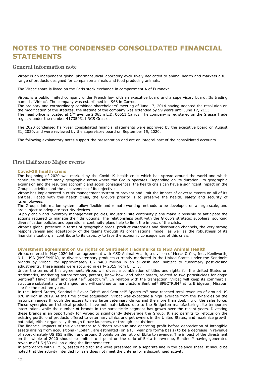## **NOTES TO THE CONDENSED CONSOLIDATED FINANCIAL STATEMENTS**

#### **General information note**

Virbac is an independent global pharmaceutical laboratory exclusively dedicated to animal health and markets a full range of products designed for companion animals and food producing animals.

The Virbac share is listed on the Paris stock exchange in compartment A of Euronext.

Virbac is a public limited company under French law with an executive board and a supervisory board. Its trading name is "Virbac". The company was established in 1968 in Carros.

The ordinary and extraordinary combined shareholders' meeting of June 17, 2014 having adopted the resolution on the modification of the statutes, the lifetime of the company was extended by 99 years until June 17, 2113.

The head office is located at 1ère avenue 2,065m LID, 06511 Carros. The company is registered on the Grasse Trade registry under the number 417350311 RCS Grasse.

The 2020 condensed half-year consolidated financial statements were approved by the executive board on August 31, 2020, and were reviewed by the supervisory board on September 15, 2020.

The following explanatory notes support the presentation and are an integral part of the consolidated accounts.

#### **First Half 2020 Major events**

#### **Covid-19 health crisis**

The beginning of 2020 was marked by the Covid-19 health crisis which has spread around the world and which continues to affect many geographic areas where the Group operates. Depending on its duration, its geographic expansion and the resulting economic and social consequences, the health crisis can have a significant impact on the Group's activities and the achievement of its objectives.

Virbac has implemented a crisis management system to prevent and limit the impact of adverse events on all of its entities. Faced with this health crisis, the Group's priority is to preserve the health, safety and security of its employees.

The Group's information systems allow flexible and remote working methods to be developed on a large scale, and are subject to adequate security devices.

Supply chain and inventory management policies, industrial site continuity plans make it possible to anticipate the actions required to manage their disruptions. The relationships built with the Group's strategic suppliers, sourcing diversification policies and operational continuity plans help to limit the impact of the crisis.

Virbac's global presence in terms of geographic areas, product categories and distribution channels, the very strong responsiveness and adaptability of the teams through its organizational model, as well as the robustness of its financial situation, all contribute to its capacity to face the economic consequences of this crisis.

#### **Divestment agreement on US rights on Sentinel® trademarks to MSD Animal Health**

Virbac entered in May 2020 into an agreement with MSD Animal Health, a division of Merck & Co., Inc., Kenilworth, N.J., USA (NYSE:MRK), to divest veterinary products currently marketed in the United States under the Sentinel® brands by Virbac, for approximately US \$400 million in an all-cash deal subject to customary post-closing adjustments. These assets were acquired in early 2015 from Eli Lilly.

Under the terms of this agreement, Virbac will divest a combination of titles and rights for the United States on trademarks, marketing authorizations, patents, know-how, and other assets, related to two parasiticides for dogs: Sentinel<sup>®</sup> Flavor Tabs<sup>®</sup> and Sentinel<sup>®</sup> Spectrum<sup>®</sup>. In relation with the transaction, Virbac will keep its commercial structure substantially unchanged, and will continue to manufacture Sentinel® SPECTRUM® at its Bridgeton, Missouri site for the next ten years.

In the United States, Sentinel ® Flavor Tabs® and Sentinel® Spectrum® have reached total revenues of around US \$70 million in 2019. At the time of the acquisition, Virbac was expecting a high leverage from the synergies on the historical ranges through the access to new large veterinary clinics and the more than doubling of the sales force. These synergies on historical products have not materialized due to the Bridgeton manufacturing site temporary interruption, while the number of brands in the parasiticide segment has grown over the recent years. Divesting these brands is an opportunity for Virbac to significantly deleverage the Group. It also permits to refocus on the existing portfolio of products offered to veterinary clinics and pet owners in the United States, and maximize growth potential, either organically through future launches, or through acquisitions.

The financial impacts of this divestment to Virbac's revenue and operating profit before depreciation of intangible assets arising from acquisitions ("Ebita"), are estimated (on a full year pro forma basis) to be a decrease in revenue of approximately US \$55 million and around 3 points on the ratio of Ebita to revenue. The impact of the divestment on the whole of 2020 should be limited to 1 point on the ratio of Ebita to revenue, Sentinel® having generated revenue of US \$39 million during the first semester.

In accordance with IFRS 5, assets held for sale were presented on a separate line in the balance sheet. It should be noted that the activity intended for sale does not meet the criteria for a discontinued activity.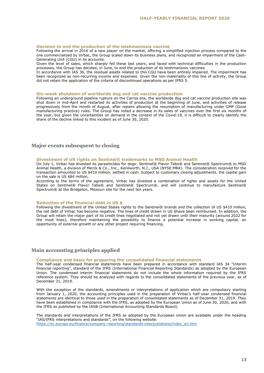#### **Decision to end the production of the leishmaniosis vaccine**

Following the arrival in 2016 of a new player on the market, offering a simplified injection process compared to the one commercialized by Virbac, the Group scaled down its business plans, and recognized an impairment of the Cash-Generating Unit (CGU) in its accounts.

Given the level of sales, which sharply fell these last years, and faced with technical difficulties in the production processes, the Group has decided, in June, to end the production of its leishmaniosis vaccines.

In accordance with IAS 36, the residual assets related to this CGU have been entirely impaired. The impairment has been recognized as non-recurring income and expenses. Given the non-materiality of this line of activity, the Group did not retain the application of the criteria of discontinued operations as per IFRS 5.

#### **Six-week shutdown of worldwide dog and cat vaccine production**

Following an underground pipeline rupture on the Carros site, the worldwide dog and cat vaccine production site was shut down in mid-April and restarted its activities of production at the beginning of June, and activities of release progressively from the month of August, after repairs allowing the resumption of manufacturing under GMP (Good manufacturing practice) rules. The Group has noted a decrease in its sales of vaccines over the first six months of the year, but given the uncertainties on demand in the context of the Covid-19, it is difficult to clearly identify the share of the decline linked to this incident as of June 30, 2020.

#### **Major events subsequent to closing**

#### **Divestment of US rights on Sentinel® trademarks to MSD Animal Health**

On July 1, Virbac has divested its parasiticides for dogs: Sentinel® Flavor Tabs® and Sentinel® Spectrum® to MSD Animal Health, a division of Merck & Co., Inc., Kenilworth, N.J., USA (NYSE:MRK). The consideration received for the transaction amounted to US \$410 million, settled in cash. Subject to customary closing adjustments, the capital gain on the sale is US \$84 million.

According to the terms of the agreement, Virbac has divested a combination of rights and assets for the United States on Sentinel® Flavor Tabs® and Sentinel® Spectrum®, and will continue to manufacture Sentinel® Spectrum® at the Bridgeton, Missouri site for the next ten years.

#### **Reduction of the financial debt in US \$**

Following the divestment of the United States rights to the Sentinel® brands and the collection of US \$410 million, the net debt of Virbac has become negative. The lines of credit drawn in US \$have been reimbursed. In addition, the Group will retain the major part of its credit lines negotiated and not yet drawn until their maturity (around 2022 for the most lines), therefore maintaining the possibility to finance a potential increase in working capital, an opportunity of external growth or any other project requiring financing.

#### **Main accounting principles applied**

#### **Compliance and basis for preparing the consolidated financial statements**

The half-year condensed financial statements have been prepared in accordance with standard IAS 34 "Interim financial reporting", standard of the IFRS (International Financial Reporting Standards) as adopted by the European Union. The condensed interim financial statements do not include the whole information required by the IFRS reference system. They should be analyzed with regards to the consolidated statements of the previous year, as of December 31, 2019.

With the exception of the standards, amendments or interpretations of application which are compulsory starting from January 1, 2020, the accounting principles used in the preparation of Virbac's half-year condensed financial statements are identical to those used in the preparation of consolidated statements as of December 31, 2019. They have been established in compliance with the IFRS, as adopted by the European Union as of June 30, 2020, and with the IFRS as published by the IASB (International Accounting Standards Board).

The standards and interpretations of the IFRS as adopted by the European Union are available under the heading "IAS/IFRS interpretations and standards", on the following website: [https://ec.europa.eu/finance/company-reporting/standards-interpretations/index\\_en.htm](https://ec.europa.eu/finance/company-reporting/standards-interpretations/index_en.htm)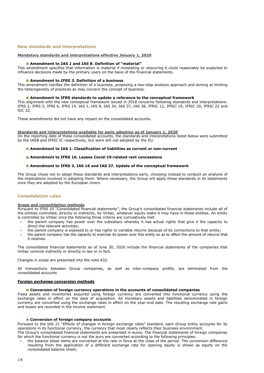#### **New standards and interpretations**

#### **Mandatory standards and interpretations effective January 1, 2020**

#### **Amendment to** *IAS 1* **and** *IAS <sup>8</sup>***. Definition of "material"**

This amendment specifies that information is material if misstating or obscuring it could reasonably be expected to influence decisions made by the primary users on the basis of the financial statements.

#### **Amendment to** *IFRS 3***. Definition of a business**

This amendment clarifies the definition of a business, proposing a two-step analysis approach and aiming at limiting the heterogeneity of practices as may concern the concept of business.

#### **Amendment to IFRS standards to update a reference to the conceptual framework**

This alignment with the new conceptual framework issued in 2018 concerns following standards and interpretations: IFRS 2, IFRS 3, IFRS 6, IFRS 14, IAS 1, IAS 8, IAS 34, IAS 37, IAS 38, IFRIC 12, IFRIC 19, IFRIC 20, IFRIC 22 and SIC 32.

These amendments did not have any impact on the consolidated accounts.

#### **Standards and interpretations available for early adoption as of January 1, 2020**

On the reporting date of these consolidated accounts, the standards and interpretations listed below were submitted by the IASB and IFRIC IC respectively, but were still not adopted by the EU.

- **Amendment to IAS 1. Classification of liabilities as current or non-current**
- **Amendment to IFRS 16. Leases Covid-19-related rent concessions**
- **Amendment to IFRS 3, IAS 16 and IAS 37. Update of the conceptual framework**

The Group chose not to adopt these standards and interpretations early, choosing instead to conduct an analysis of the implications involved in adopting them. Where necessary, the Group will apply these standards in its statements once they are adopted by the European Union.

#### **Consolidation rules**

#### **Scope and consolidation methods**

Pursuant to IFRS 10 "Consolidated financial statements", the Group's consolidated financial statements include all of the entities controlled, directly or indirectly, by Virbac, whatever equity stake it may have in these entities. An entity is controlled by Virbac once the following three criteria are cumulatively met:

- the parent company has power over the subsidiary whereby it has actual rights that give it the capacity to direct the relevant activities;
- the parent company is exposed to or has rights to variable returns because of its connections to that entity;
- the parent company has the capacity to exercise its power over this entity so as to affect the amount of returns that it receives.

The consolidated financial statements as of June 30, 2020 include the financial statements of the companies that Virbac controls indirectly or directly in law or in fact.

Changes in scope are presented into the note A32.

All transactions between Group companies, as well as inter-company profits, are eliminated from the consolidated accounts

#### **Foreign exchange conversion methods**

#### **Conversion of foreign currency operations in the accounts of consolidated companies**

Fixed assets and inventories acquired using foreign currency are converted into functional currency using the exchange rates in effect on the date of acquisition. All monetary assets and liabilities denominated in foreign currency are converted using the exchange rates in effect on the year-end date. The resulting exchange rate gains and losses are recorded in the income statement.

#### **Conversion of foreign company accounts**

Pursuant to the IAS 21 "Effects of changes in foreign exchange rates" standard, each Group entity accounts for its operations in its functional currency, the currency that most clearly reflects their business environment.

The Group's consolidated financial statements are presented in euros. The financial statements of foreign companies for which the functional currency is not the euro are converted according to the following principles:

 the balance sheet items are converted at the rate in force at the close of the period. The conversion difference resulting from the application of a different exchange rate for opening equity is shown as equity on the consolidated balance sheet;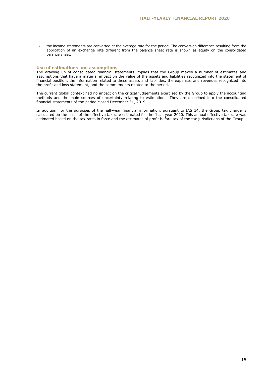the income statements are converted at the average rate for the period. The conversion difference resulting from the application of an exchange rate different from the balance sheet rate is shown as equity on the consolidated balance sheet.

#### **Use of estimations and assumptions**

The drawing up of consolidated financial statements implies that the Group makes a number of estimates and assumptions that have a material impact on the value of the assets and liabilities recognized into the statement of financial position, the information related to these assets and liabilities, the expenses and revenues recognized into the profit and loss statement, and the commitments related to the period.

The current global context had no impact on the critical judgements exercised by the Group to apply the accounting methods and the main sources of uncertainty relating to estimations. They are described into the consolidated financial statements of the period closed December 31, 2019.

In addition, for the purposes of the half-year financial information, pursuant to IAS 34, the Group tax charge is calculated on the basis of the effective tax rate estimated for the fiscal year 2020. This annual effective tax rate was estimated based on the tax rates in force and the estimates of profit before tax of the tax jurisdictions of the Group.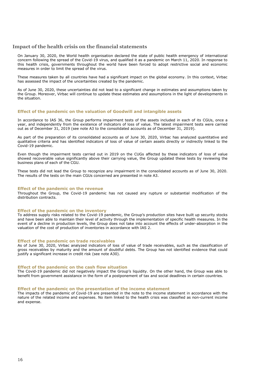#### **Impact of the health crisis on the financial statements**

On January 30, 2020, the World health organisation declared the state of public health emergency of international concern following the spread of the Covid-19 virus, and qualified it as a pandemic on March 11, 2020. In response to this health crisis, governments throughout the world have been forced to adopt restrictive social and economic measures in order to limit the spread of the virus.

These measures taken by all countries have had a significant impact on the global economy. In this context, Virbac has assessed the impact of the uncertainties created by the pandemic.

As of June 30, 2020, these uncertainties did not lead to a significant change in estimates and assumptions taken by the Group. Moreover, Virbac will continue to update these estimates and assumptions in the light of developments in the situation.

#### **Effect of the pandemic on the valuation of Goodwill and intangible assets**

In accordance to IAS 36, the Group performs impairment tests of the assets included in each of its CGUs, once a year, and independently from the existence of indicators of loss of value. The latest impairment tests were carried out as of December 31, 2019 (see note A3 to the consolidated accounts as of December 31, 2019).

As part of the preparation of its consolidated accounts as of June 30, 2020, Virbac has analyzed quantitative and qualitative criteria and has identified indicators of loss of value of certain assets directly or indirectly linked to the Covid-19 pandemic.

Even though the impairment tests carried out in 2019 on the CUGs affected by these indicators of loss of value showed recoverable value significantly above their carrying value, the Group updated these tests by reviewing the business plans of each of the CGU.

These tests did not lead the Group to recognize any impairment in the consolidated accounts as of June 30, 2020. The results of the tests on the main CGUs concerned are presented in note A3.

#### **Effect of the pandemic on the revenue**

Throughout the Group, the Covid-19 pandemic has not caused any rupture or substantial modification of the distribution contracts.

#### **Effect of the pandemic on the inventory**

To address supply risks related to the Covid-19 pandemic, the Group's production sites have built up security stocks and have been able to maintain their level of activity through the implementation of specific health measures. In the event of a decline in production levels, the Group does not take into account the effects of under-absorption in the valuation of the cost of production of inventories in accordance with IAS 2.

#### **Effect of the pandemic on trade receivables**

As of June 30, 2020, Virbac analyzed indicators of loss of value of trade receivables, such as the classification of gross receivables by maturity and the amount of doubtful debts. The Group has not identified evidence that could justify a significant increase in credit risk (see note A30).

#### **Effect of the pandemic on the cash flow situation**

The Covid-19 pandemic did not negatively impact the Group's liquidity. On the other hand, the Group was able to benefit from government assistance in the form of a postponement of tax and social deadlines in certain countries.

#### **Effect of the pandemic on the presentation of the income statement**

The impacts of the pandemic of Covid-19 are presented in the note to the income statement in accordance with the nature of the related income and expenses. No item linked to the health crisis was classified as non-current income and expense.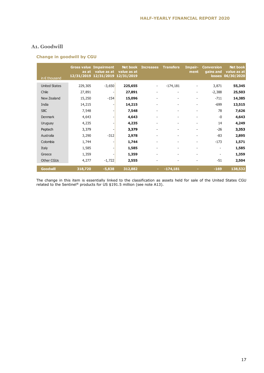### **A1. Goodwill**

#### **Change in goodwill by CGU**

| in $\epsilon$ thousand | as at<br>12/31/2019 | <b>Gross value Impairment</b><br>value as at<br>12/31/2019 12/31/2019 | Net book<br>value as at | <b>Increases</b>         | <b>Transfers</b>             | Impair-<br>ment          | <b>Conversion</b><br>gains and<br><b>losses</b> | <b>Net book</b><br>value as at<br>06/30/2020 |
|------------------------|---------------------|-----------------------------------------------------------------------|-------------------------|--------------------------|------------------------------|--------------------------|-------------------------------------------------|----------------------------------------------|
| <b>United States</b>   | 229,305             | $-3,650$                                                              | 225,655                 | $\overline{\phantom{a}}$ | $-174,181$                   |                          | 3,871                                           | 55,345                                       |
| Chile                  | 27,891              |                                                                       | 27,891                  |                          | $\overline{\phantom{a}}$     | $\overline{\phantom{0}}$ | $-2,388$                                        | 25,503                                       |
| New Zealand            | 15,250              | $-154$                                                                | 15,096                  |                          | $\overline{\phantom{a}}$     | $\overline{\phantom{a}}$ | $-711$                                          | 14,385                                       |
| India                  | 14,215              |                                                                       | 14,215                  |                          | $\overline{\phantom{a}}$     | $\overline{\phantom{a}}$ | $-699$                                          | 13,515                                       |
| <b>SBC</b>             | 7,548               |                                                                       | 7,548                   |                          | $\overline{\phantom{0}}$     | $\overline{\phantom{a}}$ | 78                                              | 7,626                                        |
| <b>Denmark</b>         | 4,643               |                                                                       | 4,643                   |                          | $\overline{\phantom{0}}$     | $\overline{\phantom{a}}$ | $-0$                                            | 4,643                                        |
| Uruguay                | 4,235               |                                                                       | 4,235                   |                          | $\overline{\phantom{a}}$     | $\overline{\phantom{a}}$ | 14                                              | 4,249                                        |
| Peptech                | 3,379               |                                                                       | 3,379                   |                          | $\overline{\phantom{a}}$     | $\overline{\phantom{0}}$ | $-26$                                           | 3,353                                        |
| Australia              | 3,290               | $-312$                                                                | 2,978                   |                          |                              | $\overline{\phantom{0}}$ | $-83$                                           | 2,895                                        |
| Colombia               | 1,744               |                                                                       | 1,744                   |                          | $\qquad \qquad \blacksquare$ | $\overline{\phantom{a}}$ | $-173$                                          | 1,571                                        |
| Italy                  | 1,585               |                                                                       | 1,585                   |                          | $\overline{\phantom{a}}$     | $\overline{\phantom{a}}$ | $\overline{\phantom{a}}$                        | 1,585                                        |
| Greece                 | 1,359               |                                                                       | 1,359                   | $\qquad \qquad -$        | $\overline{\phantom{a}}$     | $\overline{\phantom{a}}$ | $\overline{\phantom{a}}$                        | 1,359                                        |
| <b>Other CGUs</b>      | 4,277               | $-1,722$                                                              | 2,555                   |                          | $\overline{\phantom{0}}$     | $\overline{a}$           | $-51$                                           | 2,504                                        |
| <b>Goodwill</b>        | 318,720             | $-5,838$                                                              | 312,882                 | ٠                        | $-174,181$                   |                          | $-169$                                          | 138,532                                      |

The change in this item is essentially linked to the classification as assets held for sale of the United States CGU related to the Sentinel® products for US \$191.5 million (see note A13).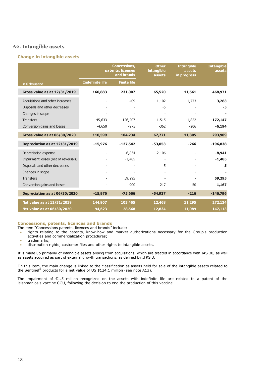#### **A2. Intangible assets**

#### **Change in intangible assets**

|                                      | <b>Concessions,</b><br>patents, licenses<br>and brands |                    | <b>Other</b><br><b>intangible</b><br>assets | <b>Intangible</b><br>assets<br>in progress | <b>Intangible</b><br>assets |
|--------------------------------------|--------------------------------------------------------|--------------------|---------------------------------------------|--------------------------------------------|-----------------------------|
| in $\epsilon$ thousand               | Indefinite life                                        | <b>Finite life</b> |                                             |                                            |                             |
| Gross value as at 12/31/2019         | 160,883                                                | 231,007            | 65,520                                      | 11,561                                     | 468,971                     |
| Acquisitions and other increases     |                                                        | 409                | 1,102                                       | 1,773                                      | 3,283                       |
| Disposals and other decreases        |                                                        |                    | $-5$                                        |                                            | -5                          |
| Changes in scope                     |                                                        |                    |                                             |                                            |                             |
| <b>Transfers</b>                     | $-45,633$                                              | $-126,207$         | 1,515                                       | $-1,822$                                   | $-172,147$                  |
| Conversion gains and losses          | $-4,650$                                               | $-975$             | $-362$                                      | $-206$                                     | $-6,194$                    |
| <b>Gross value as at 06/30/2020</b>  | 110,599                                                | 104,234            | 67,771                                      | 11,305                                     | 293,909                     |
| Depreciation as at 12/31/2019        | $-15,976$                                              | $-127,542$         | $-53,053$                                   | $-266$                                     | $-196,838$                  |
| Depreciation expense                 |                                                        | $-6,834$           | $-2,106$                                    |                                            | $-8,941$                    |
| Impairment losses (net of reversals) |                                                        | $-1,485$           | -                                           |                                            | $-1,485$                    |
| Disposals and other decreases        |                                                        |                    | 5                                           |                                            | 5                           |
| Changes in scope                     |                                                        |                    |                                             |                                            |                             |
| <b>Transfers</b>                     |                                                        | 59,295             |                                             |                                            | 59,295                      |
| Conversion gains and losses          |                                                        | 900                | 217                                         | 50                                         | 1,167                       |
| Depreciation as at 06/30/2020        | $-15,976$                                              | $-75,666$          | $-54,937$                                   | $-216$                                     | $-146,796$                  |
| Net value as at 12/31/2019           | 144,907                                                | 103,465            | 12,468                                      | 11,295                                     | 272,134                     |
| Net value as at 06/30/2020           | 94,623                                                 | 28,568             | 12,834                                      | 11,089                                     | 147,113                     |

#### **Concessions, patents, licences and brands**

The item "Concessions patents, licences and brands" include:

- rights relating to the patents, know-how and market authorizations necessary for the Group's production activities and commercialization procedures;
- **•** trademarks;
- distribution rights, customer files and other rights to intangible assets.

It is made up primarily of intangible assets arising from acquisitions, which are treated in accordance with IAS 38, as well as assets acquired as part of external growth transactions, as defined by IFRS 3.

On this item, the main change is linked to the classification as assets held for sale of the intangible assets related to the Sentinel® products for a net value of US \$124.1 million (see note A13).

The impairment of €1.5 million recognized on the assets with indefinite life are related to a patent of the leishmaniosis vaccine CGU, following the decision to end the production of this vaccine.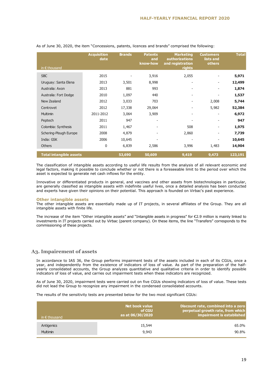|                                | <b>Acquisition</b><br>date | <b>Brands</b> | <b>Patents</b><br>and<br>know-how | <b>Marketing</b><br><b>authorizations</b><br>and registration | <b>Customers</b><br>lists and<br>others | <b>Total</b> |
|--------------------------------|----------------------------|---------------|-----------------------------------|---------------------------------------------------------------|-----------------------------------------|--------------|
| in $\epsilon$ thousand         |                            |               |                                   | rights                                                        |                                         |              |
| <b>SBC</b>                     | 2015                       |               | 3,916                             | 2,055                                                         |                                         | 5,971        |
| Uruguay: Santa Elena           | 2013                       | 3,501         | 8,998                             |                                                               |                                         | 12,499       |
| Australia: Axon                | 2013                       | 881           | 993                               |                                                               |                                         | 1,874        |
| Australia: Fort Dodge          | 2010                       | 1,097         | 440                               | $\overline{\phantom{a}}$                                      | $\qquad \qquad \blacksquare$            | 1,537        |
| New Zealand                    | 2012                       | 3,033         | 703                               | $\overline{a}$                                                | 2,008                                   | 5,744        |
| Centrovet                      | 2012                       | 17,338        | 29,064                            |                                                               | 5,982                                   | 52,384       |
| <b>Multimin</b>                | 2011-2012                  | 3,064         | 3,909                             | $\overline{\phantom{a}}$                                      | -                                       | 6,972        |
| Peptech                        | 2011                       | 947           |                                   |                                                               |                                         | 947          |
| Colombia: Synthesis            | 2011                       | 1,467         | -                                 | 508                                                           | ٠                                       | 1,975        |
| Schering-Plough Europe         | 2008                       | 4,879         |                                   | 2,860                                                         |                                         | 7,739        |
| India: GSK                     | 2006                       | 10,645        | ۰                                 | ٠                                                             |                                         | 10,645       |
| <b>Others</b>                  | 0                          | 6,839         | 2,586                             | 3,996                                                         | 1,483                                   | 14,904       |
| <b>Total intangible assets</b> |                            | 53,690        | 50,609                            | 9,419                                                         | 9,473                                   | 123,191      |

#### As of June 30, 2020, the item "Concessions, patents, licences and brands" comprised the following:

The classification of intangible assets according to useful life results from the analysis of all relevant economic and legal factors, making it possible to conclude whether or not there is a foreseeable limit to the period over which the asset is expected to generate net cash inflows for the entity.

Innovative or differentiated products in general, and vaccines and other assets from biotechnologies in particular, are generally classified as intangible assets with indefinite useful lives, once a detailed analysis has been conducted and experts have given their opinions on their potential. This approach is founded on Virbac's past experience.

#### **Other intangible assets**

The other intangible assets are essentially made up of IT projects, in several affiliates of the Group. They are all intangible assets with finite life.

The increase of the item "Other intangible assets" and "Intangible assets in progress" for €2.9 million is mainly linked to investments in IT projects carried out by Virbac (parent company). On these items, the line "Transfers" corresponds to the commissioning of these projects.

#### **A3. Impairement of assets**

In accordance to IAS 36, the Group performs impairment tests of the assets included in each of its CGUs, once a year, and independently from the existence of indicators of loss of value. As part of the preparation of the halfyearly consolidated accounts, the Group analyzes quantitative and qualitative criteria in order to identify possible indicators of loss of value, and carries out impairment tests when these indicators are recognized.

As of June 30, 2020, impairment tests were carried out on five CGUs showing indicators of loss of value. These tests did not lead the Group to recognize any impairment in the condensed consolidated accounts.

The results of the sensitivity tests are presented below for the two most significant CGUs:

| in $\epsilon$ thousand | Net book value<br>of CGU<br>as at 06/30/2020 | Discount rate, combined into a zero<br>perpetual growth rate, from which<br>impairment is established |
|------------------------|----------------------------------------------|-------------------------------------------------------------------------------------------------------|
| Antigenics             | 15,544                                       | 65.0%                                                                                                 |
| <b>Multimin</b>        | 9,943                                        | 90.8%                                                                                                 |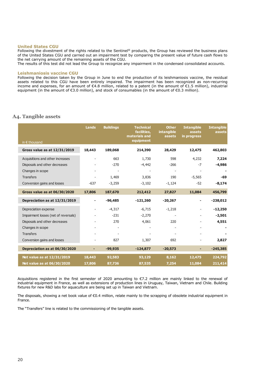#### **United States CGU**

Following the divestment of the rights related to the Sentinel® products, the Group has reviewed the business plans of the United States CGU and carried out an impairment test by comparing the present value of future cash flows to the net carrying amount of the remaining assets of the CGU.

The results of this test did not lead the Group to recognize any impairment in the condensed consolidated accounts.

#### **Leishmaniosis vaccine CGU**

Following the decision taken by the Group in June to end the production of its leishmaniosis vaccine, the residual assets related to this CGU have been entirely impaired. The impairment has been recognized as non-recurring income and expenses, for an amount of €4.8 million, related to a patent (in the amount of €1.5 million), industrial equipment (in the amount of €3.0 million), and stock of consumables (in the amount of €0.3 million).

#### **A4. Tangible assets**

| in $\epsilon$ thousand               | <b>Lands</b>             | <b>Buildings</b> | <b>Technical</b><br>facilities,<br>materials and<br>equipment | <b>Other</b><br>intangible<br>assets | <b>Intangible</b><br>assets<br>in progress | <b>Intangible</b><br>assets |
|--------------------------------------|--------------------------|------------------|---------------------------------------------------------------|--------------------------------------|--------------------------------------------|-----------------------------|
| Gross value as at 12/31/2019         | 18,443                   | 189,068          | 214,390                                                       | 28,429                               | 12,475                                     | 462,803                     |
| Acquisitions and other increases     | $\overline{\phantom{a}}$ | 663              | 1,730                                                         | 598                                  | 4,232                                      | 7,224                       |
| Disposals and other decreases        |                          | $-270$           | $-4,442$                                                      | $-266$                               | $-7$                                       | $-4,986$                    |
| Changes in scope                     |                          |                  |                                                               |                                      |                                            |                             |
| <b>Transfers</b>                     |                          | 1,469            | 3,836                                                         | 190                                  | $-5,565$                                   | $-69$                       |
| Conversion gains and losses          | $-637$                   | $-3,259$         | $-3,102$                                                      | $-1,124$                             | $-52$                                      | $-8,174$                    |
| Gross value as at 06/30/2020         | 17,806                   | 187,670          | 212,412                                                       | 27,827                               | 11,084                                     | 456,799                     |
| Depreciation as at 12/31/2019        |                          | $-96,485$        | $-121,260$                                                    | $-20,267$                            |                                            | $-238,012$                  |
| Depreciation expense                 |                          | $-4,317$         | $-6,715$                                                      | $-1,218$                             |                                            | $-12,250$                   |
| Impairment losses (net of reversals) |                          | $-231$           | $-2,270$                                                      |                                      |                                            | $-2,501$                    |
| Disposals and other decreases        |                          | 270              | 4,061                                                         | 220                                  |                                            | 4,551                       |
| Changes in scope                     |                          |                  |                                                               |                                      |                                            |                             |
| <b>Transfers</b>                     |                          |                  |                                                               |                                      |                                            |                             |
| Conversion gains and losses          |                          | 827              | 1,307                                                         | 692                                  |                                            | 2,827                       |
| Depreciation as at 06/30/2020        |                          | $-99,935$        | $-124,877$                                                    | $-20,573$                            | ٠                                          | $-245,385$                  |
| Net value as at 12/31/2019           | 18,443                   | 92,583           | 93,129                                                        | 8,162                                | 12,475                                     | 224,792                     |
| Net value as at 06/30/2020           | 17,806                   | 87,736           | 87,535                                                        | 7,254                                | 11,084                                     | 211,414                     |

Acquisitions registered in the first semester of 2020 amounting to €7.2 million are mainly linked to the renewal of industrial equipment in France, as well as extensions of production lines in Uruguay, Taiwan, Vietnam and Chile. Building fixtures for new R&D labs for aquaculture are being set up in Taiwan and Vietnam.

The disposals, showing a net book value of  $\epsilon$ 0.4 million, relate mainly to the scrapping of obsolete industrial equipment in France.

The "Transfers" line is related to the commissioning of the tangible assets.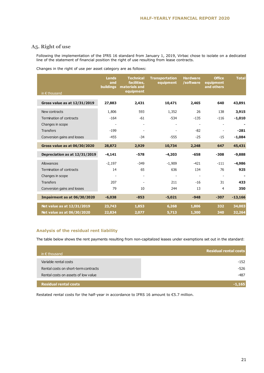## **A5. Right of use**

Following the implementation of the IFRS 16 standard from January 1, 2019, Virbac chose to isolate on a dedicated line of the statement of financial position the right of use resulting from lease contracts.

|  |  |  |  | Changes in the right of use per asset category are as follows: |
|--|--|--|--|----------------------------------------------------------------|
|--|--|--|--|----------------------------------------------------------------|

| in $\epsilon$ thousand              | Lands<br>and<br><b>buildings</b> | <b>Technical</b><br>facilities,<br>materials and<br>equipment | <b>Transportation</b><br>equipment | <b>Hardware</b><br>/software | <b>Office</b><br>equipment<br>and others | <b>Total</b> |
|-------------------------------------|----------------------------------|---------------------------------------------------------------|------------------------------------|------------------------------|------------------------------------------|--------------|
| Gross value as at 12/31/2019        | 27,883                           | 2,431                                                         | 10,471                             | 2,465                        | 640                                      | 43,891       |
| New contracts                       | 1,806                            | 593                                                           | 1,352                              | 26                           | 138                                      | 3,915        |
| Termination of contracts            | $-164$                           | $-61$                                                         | $-534$                             | $-135$                       | $-116$                                   | $-1,010$     |
| Changes in scope                    | $\overline{\phantom{a}}$         | $\overline{\phantom{a}}$                                      |                                    | $\overline{\phantom{a}}$     | $\overline{\phantom{a}}$                 | ۰            |
| <b>Transfers</b>                    | $-199$                           |                                                               |                                    | $-82$                        |                                          | $-281$       |
| Conversion gains and losses         | $-455$                           | $-34$                                                         | $-555$                             | $-25$                        | $-15$                                    | $-1,084$     |
|                                     |                                  |                                                               |                                    |                              |                                          |              |
| <b>Gross value as at 06/30/2020</b> | 28,872                           | 2,929                                                         | 10,734                             | 2,248                        | 647                                      | 45,431       |
| Depreciation as at 12/31/2019       | $-4,141$                         | $-578$                                                        | $-4,203$                           | $-658$                       | $-308$                                   | $-9,888$     |
| Allowances                          | $-2,197$                         | $-349$                                                        | $-1,909$                           | $-421$                       | $-111$                                   | $-4,986$     |
| Termination of contracts            | 14                               | 65                                                            | 636                                | 134                          | 76                                       | 925          |
| Changes in scope                    |                                  |                                                               |                                    | $\blacksquare$               | $\overline{\phantom{a}}$                 |              |
| <b>Transfers</b>                    | 207                              |                                                               | 211                                | $-16$                        | 31                                       | 433          |
| Conversion gains and losses         | 79                               | 10                                                            | 244                                | 13                           | 4                                        | 350          |
| Impairment as at 06/30/2020         | $-6,038$                         | $-853$                                                        | $-5,021$                           | $-948$                       | $-307$                                   | $-13,166$    |
| Net value as at 12/31/2019          | 23,743                           | 1,853                                                         | 6,268                              | 1,806                        | 332                                      | 34,003       |
| Net value as at 06/30/2020          | 22,834                           | 2,077                                                         | 5,713                              | 1,300                        | 340                                      | 32,264       |

#### **Analysis of the residual rent liability**

The table below shows the rent payments resulting from non-capitalized leases under exemptions set out in the standard:

| in $\epsilon$ thousand               | <b>Residual rental costs</b> |
|--------------------------------------|------------------------------|
| Variable rental costs                | $-152$                       |
| Rental costs on short-term contracts | $-526$                       |
| Rental costs on assets of low value  | $-487$                       |
|                                      |                              |
| <b>Residual rental costs</b>         | $-1.165$                     |

Restated rental costs for the half-year in accordance to IFRS 16 amount to €5.7 million.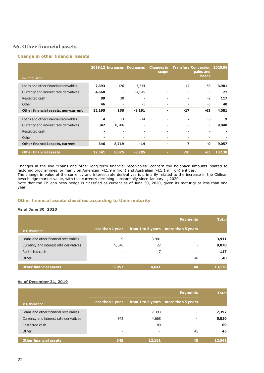## **A6. Other financial assets**

#### **Change in other financial assets**

|                                        |        |                          | 2019.12 Increases Decreases | <b>Changes in</b><br>scope |                          | <b>Transfers Conversion 2020.06</b><br>gains and<br><b>losses</b> |        |
|----------------------------------------|--------|--------------------------|-----------------------------|----------------------------|--------------------------|-------------------------------------------------------------------|--------|
| in $\epsilon$ thousand                 |        |                          |                             |                            |                          |                                                                   |        |
| Loans and other financial receivables  | 7,393  | 126                      | $-3,544$                    | $\overline{\phantom{a}}$   | $-17$                    | -56                                                               | 3,901  |
| Currency and interest rate derivatives | 4,668  | $\overline{\phantom{a}}$ | $-4,645$                    | $\overline{\phantom{0}}$   |                          | $\overline{\phantom{a}}$                                          | 22     |
| Restricted cash                        | 89     | 30                       | $\overline{\phantom{a}}$    | $\overline{\phantom{a}}$   | $\overline{\phantom{a}}$ | $-2$                                                              | 117    |
| Other                                  | 46     | $\overline{\phantom{a}}$ | $-1$                        | $\overline{\phantom{a}}$   | $\overline{\phantom{a}}$ | -5                                                                | 40     |
| Other financial assets, non-current    | 12,195 | 156                      | $-8,191$                    |                            | $-17$                    | -63                                                               | 4,081  |
| Loans and other financial receivables  | 4      | 13                       | $-14$                       |                            | 7                        | $-0$                                                              | 9      |
| Currency and interest rate derivatives | 342    | 8,706                    |                             | $\overline{\phantom{a}}$   |                          | $\overline{\phantom{a}}$                                          | 9,048  |
| Restricted cash                        | ۰      | $\overline{\phantom{a}}$ |                             |                            |                          | $\overline{\phantom{0}}$                                          |        |
| Other                                  | ٠      |                          | $\overline{a}$              |                            | $\overline{\phantom{a}}$ |                                                                   |        |
| <b>Other financial assets, current</b> | 346    | 8,719                    | $-14$                       |                            | 7                        | -0                                                                | 9,057  |
| <b>Other financial assets</b>          | 12,541 | 8,875                    | $-8,205$                    | ×.                         | $-10$                    | $-63$                                                             | 13,138 |

Changes in the line "Loans and other long-term financial receivables" concern the holdback amounts related to factoring programmes, primarily on American (-€1.9 million) and Australian (-€1.1 million) entities. The change in value of the currency and interest rate derivatives is primarily related to the increase in the Chilean peso hedge market value, with this currency declining substantially since January 1, 2020. Note that the Chilean peso hedge is classified as current as of June 30, 2020, given its maturity at less than one year.

#### **Other financial assets classified according to their maturity**

#### **As of June 30, 2020**

|                                        |                  | <b>Total</b> |                                     |        |
|----------------------------------------|------------------|--------------|-------------------------------------|--------|
| in $\epsilon$ thousand                 | less than 1 year |              | from 1 to 5 years more than 5 years |        |
| Loans and other financial receivables  | 9                | 3,901        |                                     | 3,911  |
| Currency and interest rate derivatives | 9,048            | 22           |                                     | 9,070  |
| Restricted cash                        | -                | 117          |                                     | 117    |
| Other                                  | -                | ۰            | 40                                  | 40     |
| <b>Other financial assets</b>          | 9,057            | 4,041        | 40                                  | 13,138 |

#### **As of December 31, 2019**

|                                        |                  | <b>Total</b> |                                     |        |
|----------------------------------------|------------------|--------------|-------------------------------------|--------|
| in $\epsilon$ thousand                 | less than 1 year |              | from 1 to 5 years more than 5 years |        |
| Loans and other financial receivables  | 3                | 7,393        |                                     | 7,397  |
| Currency and interest rate derivatives | 342              | 4,668        |                                     | 5,010  |
| Restricted cash                        |                  | 89           |                                     | 89     |
| Other                                  |                  |              | 45                                  | 45     |
| <b>Other financial assets</b>          | 345              | 12,151       | 45                                  | 12,541 |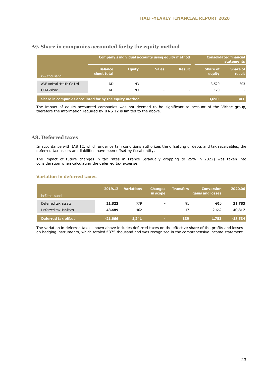|                                                       |                               |               | <b>Consolidated financial</b><br>Company's individual accounts using equity method<br><b>statements</b> |               |                           |                           |
|-------------------------------------------------------|-------------------------------|---------------|---------------------------------------------------------------------------------------------------------|---------------|---------------------------|---------------------------|
| in $\epsilon$ thousand                                | <b>Balance</b><br>sheet total | <b>Equity</b> | <b>Sales</b>                                                                                            | <b>Result</b> | <b>Share of</b><br>equity | <b>Share of</b><br>result |
| AVF Animal Health Co Ltd                              | <b>ND</b>                     | ND.           |                                                                                                         |               | 3,520                     | 303                       |
| <b>GPM Virbac</b>                                     | <b>ND</b>                     | ND            |                                                                                                         |               | 170                       |                           |
| Share in companies accounted for by the equity method |                               |               |                                                                                                         |               | 3,690                     | 303                       |

#### **A7. Share in companies accounted for by the equity method**

The impact of equity-accounted companies was not deemed to be significant to account of the Virbac group, therefore the information required by IFRS 12 is limited to the above.

#### **A8. Deferred taxes**

In accordance with IAS 12, which under certain conditions authorizes the offsetting of debts and tax receivables, the deferred tax assets and liabilities have been offset by fiscal entity.

The impact of future changes in tax rates in France (gradually dropping to 25% in 2022) was taken into consideration when calculating the deferred tax expense.

#### **Variation in deferred taxes**

| in $\epsilon$ thousand   | 2019.12   | <b>Variations</b> | <b>Changes</b><br>in scope | <b>Transfers</b> | <b>Conversion</b><br>gains and losses | 2020.06   |
|--------------------------|-----------|-------------------|----------------------------|------------------|---------------------------------------|-----------|
| Deferred tax assets      | 21,822    | 779               | $\overline{\phantom{a}}$   | 91               | $-910$                                | 21,783    |
| Deferred tax liabilities | 43,489    | $-462$            | $\overline{\phantom{a}}$   | $-47$            | $-2.662$                              | 40,317    |
| Deferred tax offset      | $-21,666$ | 1,241             | $\sim$                     | 139              | 1,753                                 | $-18,534$ |

The variation in deferred taxes shown above includes deferred taxes on the effective share of the profits and losses on hedging instruments, which totaled €375 thousand and was recognized in the comprehensive income statement.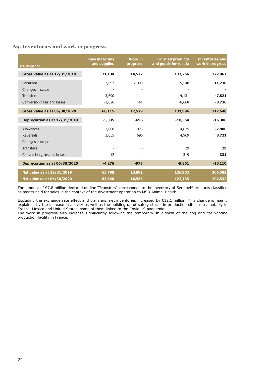### **A9. Inventories and work in progress**

| in $\epsilon$ thousand              | <b>Raw materials</b><br>and supplies | <b>Work in</b><br>progress | <b>Finished products</b><br>and goods for resale | <b>Inventories and</b><br>work in progress |
|-------------------------------------|--------------------------------------|----------------------------|--------------------------------------------------|--------------------------------------------|
| <b>Gross value as at 12/31/2019</b> | 71,134                               | 14,577                     | 137,256                                          | 222,967                                    |
| Variations                          | 2,697                                | 2,993                      | 5,540                                            | 11,230                                     |
| Changes in scope                    |                                      |                            |                                                  |                                            |
| <b>Transfers</b>                    | $-3,690$                             |                            | $-4,131$                                         | $-7,821$                                   |
| Conversion gains and losses         | $-2,026$                             | $-41$                      | $-6,668$                                         | $-8,736$                                   |
| <b>Gross value as at 06/30/2020</b> | 68,115                               | 17,529                     | 131,996                                          | 217,640                                    |
| Depreciation as at 12/31/2019       | $-5,335$                             | -696                       | $-10,354$                                        | $-16,386$                                  |
| Allowances                          | $-2,008$                             | $-973$                     | $-4,825$                                         | $-7,806$                                   |
| <b>Reversals</b>                    | 3,055                                | 696                        | 4,969                                            | 8,721                                      |
| Changes in scope                    |                                      |                            |                                                  |                                            |
| <b>Transfers</b>                    |                                      |                            | 29                                               | 29                                         |
| Conversion gains and losses         | 12                                   |                            | 319                                              | 331                                        |
| Depreciation as at 06/30/2020       | $-4,276$                             | $-973$                     | $-9,861$                                         | $-15,110$                                  |
| Net value as at 12/31/2019          | 65,798                               | 13,881                     | 126,902                                          | 206,582                                    |
| Net value as at 06/30/2020          | 63,840                               | 16,556                     | 122,135                                          | 202,532                                    |

The amount of €7.8 million declared on line "Transfers" corresponds to the inventory of Sentinel® products classified as assets held for sales in the context of the divestment operation to MSD Animal Health.

Excluding the exchange rate effect and transfers, net inventories increased by  $E12.1$  million. This change is mainly explained by the increase in activity as well as the building up of safety stocks in production sites, most notably in France, Mexico and United States, some of them linked to the Covid-19 pandemic.

The work in progress also increase significantly following the temporary shut-down of the dog and cat vaccine production facility in France.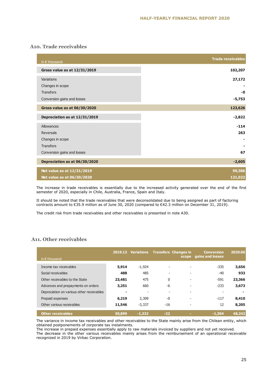#### **A10. Trade receivables**

| in $\epsilon$ thousand        | <b>Trade receivables</b> |
|-------------------------------|--------------------------|
| Gross value as at 12/31/2019  | 102,207                  |
| Variations                    | 27,172                   |
| Changes in scope              |                          |
| <b>Transfers</b>              | -0                       |
| Conversion gains and losses   | $-5,753$                 |
| Gross value as at 06/30/2020  | 123,626                  |
| Depreciation as at 12/31/2019 | $-2,822$                 |
| Allowances                    | $-114$                   |
| Reversals                     | 263                      |
| Changes in scope              |                          |
| <b>Transfers</b>              |                          |
| Conversion gains and losses   | 67                       |
| Depreciation as at 06/30/2020 | $-2,605$                 |
| Net value as at 12/31/2019    | 99,386                   |
| Net value as at 06/30/2020    | 121,022                  |

The increase in trade receivables is essentially due to the increased activity generated over the end of the first semester of 2020, especially in Chile, Australia, France, Spain and Italy.

It should be noted that the trade receivables that were deconsolidated due to being assigned as part of factoring contracts amount to €35.9 million as of June 30, 2020 (compared to €42.3 million on December 31, 2019).

The credit risk from trade receivables and other receivables is presented in note A30.

#### **A11. Other receivables**

| in $\epsilon$ thousand                    |        | 2019.12 Variations       | <b>Transfers Changes in</b> | scope                    | <b>Conversion</b><br>gains and losses | 2020.06 |
|-------------------------------------------|--------|--------------------------|-----------------------------|--------------------------|---------------------------------------|---------|
|                                           |        |                          |                             |                          |                                       |         |
| Income tax receivables                    | 5,914  | $-1,924$                 |                             |                          | $-335$                                | 3,656   |
| Social receivables                        | 488    | 485                      | $\overline{\phantom{a}}$    |                          | $-40$                                 | 933     |
| Other receivables to the State            | 23,481 | 475                      | $\mathbf{0}$                | $\overline{\phantom{a}}$ | $-591$                                | 23,366  |
| Advances and prepayments on orders        | 3,251  | 660                      | -6                          | $\overline{\phantom{0}}$ | $-233$                                | 3,673   |
| Depreciation on various other receivables | -      | $\overline{\phantom{a}}$ | $\overline{\phantom{a}}$    | $\overline{\phantom{a}}$ | $\overline{\phantom{a}}$              |         |
| Prepaid expenses                          | 6,219  | 2,309                    | $-0$                        |                          | $-117$                                | 8,410   |
| Other various receivables                 | 11,546 | $-3,337$                 | $-16$                       |                          | 12                                    | 8,205   |
| <b>Other receivables</b>                  | 50,899 | $-1.332$                 | $-22$                       | ×.                       | $-1.304$                              | 48,242  |

The variance in income tax receivables and other receivables to the State mainly arise from the Chilean entity, which obtained postponements of corporate tax instalments.

The increase in prepaid expenses essentially apply to raw materials invoiced by suppliers and not yet received. The decrease in the other various receivables mainly arises from the reimbursement of an operational receivable recognized in 2019 by Virbac Corporation.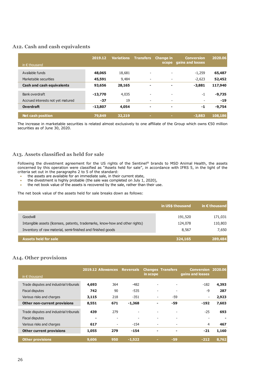#### **A12. Cash and cash equivalents**

| in $\epsilon$ thousand            | 2019.12   | <b>Variations</b> | <b>Transfers</b>         | <b>Change in</b><br>scope | <b>Conversion</b><br>gains and losses | 2020.06  |
|-----------------------------------|-----------|-------------------|--------------------------|---------------------------|---------------------------------------|----------|
|                                   |           |                   |                          |                           |                                       |          |
| Available funds                   | 48,065    | 18,681            | $\overline{\phantom{a}}$ | $\overline{\phantom{a}}$  | $-1,259$                              | 65,487   |
| Marketable securities             | 45,591    | 9,484             | $\overline{\phantom{0}}$ | $\overline{\phantom{a}}$  | $-2,623$                              | 52,452   |
| <b>Cash and cash equivalents</b>  | 93,656    | 28,165            | -                        |                           | $-3,881$                              | 117,940  |
| Bank overdraft                    | $-13,770$ | 4,035             | $\overline{\phantom{0}}$ | $\overline{\phantom{a}}$  | $-1$                                  | $-9,735$ |
| Accrued interests not yet matured | $-37$     | 19                | $\overline{\phantom{a}}$ | $\overline{\phantom{a}}$  | $\overline{\phantom{a}}$              | $-19$    |
| <b>Overdraft</b>                  | $-13,807$ | 4,054             | ۰                        | ۰                         | -1                                    | $-9,754$ |
| <b>Net cash position</b>          | 79,849    | 32,219            | ٠                        | $\sim$                    | $-3,883$                              | 108,186  |

The increase in marketable securities is related almost exclusively to one affiliate of the Group which owns €50 million securities as of June 30, 2020.

#### **A13. Assets classified as held for sale**

Following the divestment agreement for the US rights of the Sentinel® brands to MSD Animal Health, the assets concerned by this operation were classified as "Assets held for sale", in accordance with IFRS 5, in the light of the criteria set out in the paragraphs 2 to 5 of the standard:

- the assets are available for an immediate sale, in their current state,
- the divestment is highly probable (the sale was completed on July 1, 2020),
- the net book value of the assets is recovered by the sale, rather than their use.

The net book value of the assets held for sale breaks down as follows:

|                                                                              | in US\$ thousand | in $\epsilon$ thousand |
|------------------------------------------------------------------------------|------------------|------------------------|
| Goodwill                                                                     | 191,520          | 171,031                |
| Intangible assets (licenses, patents, trademarks, know-how and other rights) | 124,078          | 110,803                |
| Inventory of raw material, semi-finished and finished goods                  | 8,567            | 7,650                  |
| Assets held for sale                                                         | 324,165          | 289,484                |

#### **A14. Other provisions**

| in $\epsilon$ thousand                  |       | 2019.12 Allowances       | <b>Reversals</b>         | in scope                 | <b>Changes Transfers</b> | <b>Conversion 2020.06</b><br>gains and losses |       |
|-----------------------------------------|-------|--------------------------|--------------------------|--------------------------|--------------------------|-----------------------------------------------|-------|
| Trade disputes and industrial tribunals | 4,693 | 364                      | $-482$                   | $\overline{\phantom{a}}$ |                          | $-182$                                        | 4,393 |
| <b>Fiscal disputes</b>                  | 742   | 90                       | $-535$                   |                          | $\overline{\phantom{a}}$ | $-9$                                          | 287   |
| Various risks and charges               | 3,115 | 218                      | $-351$                   | $\overline{\phantom{a}}$ | $-59$                    | $\overline{\phantom{a}}$                      | 2,923 |
| <b>Other non-current provisions</b>     | 8,551 | 671                      | $-1,368$                 |                          | $-59$                    | $-192$                                        | 7,603 |
| Trade disputes and industrial tribunals | 439   | 279                      | $\overline{\phantom{a}}$ |                          | $\overline{\phantom{a}}$ | $-25$                                         | 693   |
| <b>Fiscal disputes</b>                  |       | $\overline{\phantom{a}}$ | $\overline{\phantom{0}}$ |                          | $\overline{\phantom{a}}$ | $\overline{\phantom{a}}$                      |       |
| Various risks and charges               | 617   | $\overline{\phantom{a}}$ | $-154$                   | $\overline{\phantom{a}}$ | $\overline{\phantom{0}}$ | 4                                             | 467   |
| <b>Other current provisions</b>         | 1,055 | 279                      | $-154$                   |                          | ۰                        | $-21$                                         | 1,160 |
| <b>Other provisions</b>                 | 9,606 | 950                      | $-1.522$                 | ×.                       | $-59$                    | $-212$                                        | 8,762 |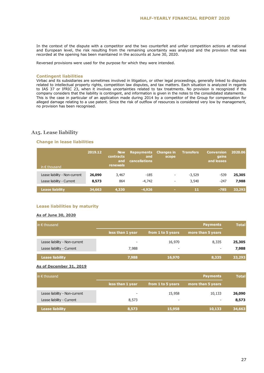In the context of the dispute with a competitor and the two counterfeit and unfair competition actions at national and European level, the risk resulting from the remaining uncertainty was analyzed and the provision that was recorded at the opening has been maintained in the accounts at June 30, 2020.

Reversed provisions were used for the purpose for which they were intended.

#### **Contingent liabilities**

Virbac and its subsidiaries are sometimes involved in litigation, or other legal proceedings, generally linked to disputes related to intellectual property rights, competition law disputes, and tax matters. Each situation is analyzed in regards to IAS 37 or IFRIC 23, when it involves uncertainties related to tax treatments. No provision is recognized if the company considers that the liability is contingent, and information is given in the notes to the consolidated statements. This is the case in particular of an application made during 2014 by a competitor of the Group for compensation for alleged damage relating to a use patent. Since the risk of outflow of resources is considered very low by management, no provision has been recognised.

#### **A15. Lease liability**

#### **Change in lease liabilities**

| in $\epsilon$ thousand        | 2019.12 | New<br><b>contracts</b><br>and<br>renewals | Repayments<br>and<br><b>cancellations</b> | <b>Changes in</b><br>scope | <b>Transfers</b> | <b>Conversion</b><br>gains<br>and losses | 2020.06 |
|-------------------------------|---------|--------------------------------------------|-------------------------------------------|----------------------------|------------------|------------------------------------------|---------|
| Lease liability - Non-current | 26,090  | 3,467                                      | $-185$                                    | $\overline{\phantom{a}}$   | $-3,529$         | $-539$                                   | 25,305  |
| Lease liability - Current     | 8,573   | 864                                        | $-4.742$                                  | $\overline{\phantom{a}}$   | 3,540            | $-247$                                   | 7,988   |
| <b>Lease liability</b>        | 34,663  | 4,330                                      | $-4,926$                                  | <b>COL</b>                 | 11               | $-785$                                   | 33,293  |

#### **Lease liabilities by maturity**

#### **As of June 30, 2020**

| $\mathsf{in} \in \mathsf{thousand}$ |                  |                          | <b>Payments</b>          | <b>Total</b> |
|-------------------------------------|------------------|--------------------------|--------------------------|--------------|
|                                     | less than 1 year | from 1 to 5 years        | more than 5 years        |              |
| Lease liability - Non-current       |                  | 16,970                   | 8,335                    | 25,305       |
| Lease liability - Current           | 7,988            | $\overline{\phantom{a}}$ | $\overline{\phantom{a}}$ | 7,988        |
| <b>Lease liability</b>              | 7,988            | 16,970                   | 8,335                    | 33,293       |

#### **As of December 31, 2019**

| $\mathsf{in} \in \mathsf{thousand}$ |                  |                          | <b>Payments</b>   | <b>Total</b> |
|-------------------------------------|------------------|--------------------------|-------------------|--------------|
|                                     | less than 1 year | from 1 to 5 years        | more than 5 years |              |
| Lease liability - Non-current       |                  | 15,958                   | 10,133            | 26,090       |
| Lease liability - Current           | 8,573            | $\overline{\phantom{0}}$ | ٠                 | 8,573        |
| <b>Lease liability</b>              | 8,573            | 15,958                   | 10,133            | 34,663       |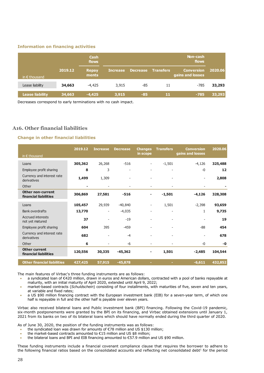#### **Information on financing activities**

|                        |         | Cash<br>flows         |                 |                 |                  | Non-cash<br>flows                     |         |
|------------------------|---------|-----------------------|-----------------|-----------------|------------------|---------------------------------------|---------|
| in $\epsilon$ thousand | 2019.12 | <b>Repay</b><br>ments | <b>Increase</b> | <b>Decrease</b> | <b>Transfers</b> | <b>Conversion</b><br>gains and losses | 2020.06 |
| Lease liability        | 34,663  | $-4,425$              | 3,915           | -85             | 11               | $-785$                                | 33,293  |
| <b>Lease liability</b> | 34,663  | $-4,425$              | 3,915           | $-85$           | 11               | $-785$                                | 33,293  |

Decreases correspond to early terminations with no cash impact.

#### **A16. Other financial liabilities**

#### **Change in other financial liabilities**

|                                                   | 2019.12 | <b>Increase</b>          | <b>Decrease</b>          | <b>Changes</b><br>in scope | <b>Transfers</b>         | <b>Conversion</b><br>gains and losses | 2020.06 |
|---------------------------------------------------|---------|--------------------------|--------------------------|----------------------------|--------------------------|---------------------------------------|---------|
| in $\epsilon$ thousand                            |         |                          |                          |                            |                          |                                       |         |
| Loans                                             | 305,362 | 26,268                   | $-516$                   | $\overline{\phantom{a}}$   | $-1,501$                 | $-4,126$                              | 325,488 |
| Employee profit sharing                           | 8       | 3                        |                          |                            |                          | -0                                    | 12      |
| Currency and interest rate<br>derivatives         | 1,499   | 1,309                    | $\overline{\phantom{a}}$ |                            |                          | $\overline{\phantom{a}}$              | 2,808   |
| Other                                             | ۰       |                          |                          |                            |                          |                                       |         |
| <b>Other non-current</b><br>financial liabilities | 306,869 | 27,581                   | $-516$                   | ۰                          | $-1,501$                 | $-4,126$                              | 328,308 |
| Loans                                             | 105,457 | 29,939                   | $-40,840$                | $\overline{\phantom{a}}$   | 1,501                    | $-2,398$                              | 93,659  |
| <b>Bank overdrafts</b>                            | 13,770  | $\overline{\phantom{a}}$ | $-4,035$                 | $\overline{\phantom{a}}$   |                          | 1                                     | 9,735   |
| <b>Accrued interests</b><br>not yet matured       | 37      | $\overline{a}$           | $-19$                    | $\overline{\phantom{a}}$   | $\overline{\phantom{a}}$ |                                       | 19      |
| Employee profit sharing                           | 604     | 395                      | $-459$                   |                            |                          | $-88$                                 | 454     |
| Currency and interest rate<br>derivatives         | 682     | $\overline{\phantom{a}}$ | $-4$                     | $\overline{\phantom{a}}$   | $\overline{\phantom{0}}$ | $\overline{\phantom{a}}$              | 678     |
| Other                                             | 6       | $\overline{\phantom{0}}$ | -6                       | $\overline{\phantom{a}}$   |                          | -0                                    | $-0$    |
| <b>Other current</b><br>financial liabilities     | 120,556 | 30,335                   | $-45,362$                | ۰                          | 1,501                    | $-2,485$                              | 104,544 |
| <b>Other financial liabilities</b>                | 427,425 | 57,915                   | $-45,878$                |                            |                          | $-6,611$                              | 432,852 |

The main features of Virbac's three funding instruments are as follows:

- a syndicated loan of €420 million, drawn in euros and American dollars, contracted with a pool of banks repayable at maturity, with an initial maturity of April 2020, extended until April 9, 2022;
- market-based contracts (*Schuldschein*) consisting of four installments, with maturities of five, seven and ten years, at variable and fixed rates;
- a US \$90 million financing contract with the European investment bank (EIB) for a seven-year term, of which one half is repayable in full and the other half is payable over eleven years.

Virbac also received bilateral loans and Public investment bank (BPI) financing. Following the Covid-19 pandemic, six-month postponements were granted by the BPI on its financing, and Virbac obtained extensions until January 1, 2021 from its banks on two of its bilateral loans which should have normally ended during the third quarter of 2020.

As of June 30, 2020, the position of the funding instruments was as follows:

- the syndicated loan was drawn for amounts of €78 million and US \$130 million;
- the market-based contracts amounted to €15 million and US \$8 million;
- the bilateral loans and BPI and EIB financing amounted to €57.9 million and US \$90 million.

These funding instruments include a financial covenant compliance clause that requires the borrower to adhere to the following financial ratios based on the consolidated accounts and reflecting net consolidated debt<sup>1</sup> for the period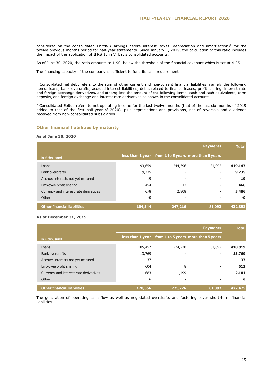considered on the consolidated Ebitda (Earnings before interest, taxes, depreciation and amortization)<sup>2</sup> for the twelve previous months period for half-year statements. Since January 1, 2019, the calculation of this ratio includes the impact of the application of IFRS 16 in Virbac's consolidated accounts.

As of June 30, 2020, the ratio amounts to 1.90, below the threshold of the financial covenant which is set at 4.25.

The financing capacity of the company is sufficient to fund its cash requirements.

 $1$  Consolidated net debt refers to the sum of other current and non-current financial liabilities, namely the following items: loans, bank overdrafts, accrued interest liabilities, debts related to finance leases, profit sharing, interest rate and foreign exchange derivatives, and others; less the amount of the following items: cash and cash equivalents, term deposits, and foreign exchange and interest rate derivatives as shown in the consolidated accounts.

<sup>2</sup> Consolidated Ebitda refers to net operating income for the last twelve months (that of the last six months of 2019 added to that of the first half-year of 2020), plus depreciations and provisions, net of reversals and dividends received from non-consolidated subsidiaries.

#### **Other financial liabilities by maturity**

#### **As of June 30, 2020**

|                                        |         |         | <b>Payments</b>                                      | <b>Total</b> |
|----------------------------------------|---------|---------|------------------------------------------------------|--------------|
| in $\epsilon$ thousand                 |         |         | less than 1 year from 1 to 5 years more than 5 years |              |
| Loans                                  | 93,659  | 244,396 | 81,092                                               | 419,147      |
| <b>Bank overdrafts</b>                 | 9,735   | ۰       |                                                      | 9,735        |
| Accrued interests not yet matured      | 19      | ٠       |                                                      | 19           |
| Employee profit sharing                | 454     | 12      | ٠                                                    | 466          |
| Currency and interest rate derivatives | 678     | 2,808   | ۰                                                    | 3,486        |
| Other                                  | $-0$    | ٠       |                                                      | -0           |
| <b>Other financial liabilities</b>     | 104,544 | 247,216 | 81,092                                               | 432,852      |

#### **As of December 31, 2019**

|                                        |         |         | <b>Payments</b>                                      | <b>Total</b> |
|----------------------------------------|---------|---------|------------------------------------------------------|--------------|
| in $\epsilon$ thousand                 |         |         | less than 1 year from 1 to 5 years more than 5 years |              |
| Loans                                  | 105,457 | 224,270 | 81,092                                               | 410,819      |
| <b>Bank overdrafts</b>                 | 13,769  |         | ٠                                                    | 13,769       |
| Accrued interests not yet matured      | 37      | -       |                                                      | 37           |
| Employee profit sharing                | 604     | 8       |                                                      | 612          |
| Currency and interest rate derivatives | 683     | 1,499   | ٠                                                    | 2,181        |
| Other                                  | 6       |         |                                                      | 6            |
| <b>Other financial liabilities</b>     | 120,556 | 225,776 | 81,092                                               | 427,425      |

The generation of operating cash flow as well as negotiated overdrafts and factoring cover short-term financial liabilities.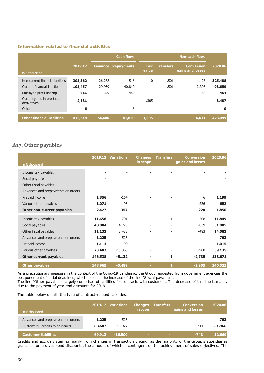#### **Information related to financial activities**

|                                           |         |                          | <b>Cash flows</b>        |                          |                          | <b>Non-cash flows</b>                 |         |
|-------------------------------------------|---------|--------------------------|--------------------------|--------------------------|--------------------------|---------------------------------------|---------|
| in $\epsilon$ thousand                    | 2019.12 | <b>Issuance</b>          | <b>Repayments</b>        | <b>Fair</b><br>value     | <b>Transfers</b>         | <b>Conversion</b><br>gains and losses | 2020.06 |
| Non-current financial liabilities         | 305,362 | 26,268                   | $-516$                   | 0                        | $-1,501$                 | $-4,126$                              | 325,488 |
| Current financial liabilities             | 105,457 | 29,939                   | $-40,840$                | -                        | 1,501                    | $-2,398$                              | 93,659  |
| Employee profit sharing                   | 611     | 399                      | $-459$                   | $\overline{\phantom{a}}$ | $\overline{\phantom{a}}$ | $-88$                                 | 464     |
| Currency and interest rate<br>derivatives | 2,181   | $\qquad \qquad -$        | $\overline{\phantom{a}}$ | 1,305                    | $\overline{\phantom{a}}$ | $\qquad \qquad \blacksquare$          | 3,487   |
| Others                                    | 6       | $\overline{\phantom{a}}$ | -6                       | $\overline{\phantom{a}}$ | $\overline{\phantom{a}}$ | $\overline{\phantom{a}}$              | 0       |
| <b>Other financial liabilities</b>        | 413,618 | 56,606                   | $-41,820$                | 1,305                    | $\sim$                   | $-6,611$                              | 423,099 |

#### **A17. Other payables**

| in $\epsilon$ thousand             |         | 2019.12 Variations       | <b>Changes</b><br>in scope | <b>Transfers</b>         | <b>Conversion</b><br>gains and losses | 2020.06 |
|------------------------------------|---------|--------------------------|----------------------------|--------------------------|---------------------------------------|---------|
| Income tax payables                | ۰       |                          | $\overline{a}$             | $\overline{\phantom{a}}$ |                                       |         |
| Social payables                    | ۰       |                          |                            |                          |                                       |         |
| Other fiscal payables              | ۰       |                          | ٠                          |                          |                                       |         |
| Advances and prepayments on orders | ۰       | $\overline{\phantom{a}}$ |                            | $\overline{\phantom{a}}$ | $\overline{\phantom{a}}$              |         |
| Prepaid income                     | 1,356   | $-164$                   |                            |                          | 6                                     | 1,199   |
| Various other payables             | 1,071   | $-193$                   | $\overline{a}$             | $\overline{\phantom{a}}$ | $-226$                                | 652     |
| Other non-current payables         | 2,427   | $-357$                   |                            |                          | $-220$                                | 1,850   |
| Income tax payables                | 11,656  | 701                      |                            | 1                        | $-508$                                | 11,849  |
| Social payables                    | 48,004  | 4,720                    |                            |                          | $-839$                                | 51,885  |
| Other fiscal payables              | 11,133  | 3,433                    |                            |                          | $-483$                                | 14,083  |
| Advances and prepayments on orders | 1,225   | $-523$                   |                            |                          | $\mathbf{1}$                          | 703     |
| Prepaid income                     | 1,113   | -99                      |                            |                          | 1                                     | 1,015   |
| Various other payables             | 73,407  | $-13,365$                |                            |                          | $-908$                                | 59,135  |
| <b>Other current payables</b>      | 146,538 | $-5,132$                 |                            | 1                        | $-2,735$                              | 138,671 |
| <b>Other payables</b>              | 148,965 | $-5,489$                 |                            | 1                        | $-2,955$                              | 140,522 |

As a precautionary measure in the context of the Covid-19 pandemic, the Group requested from government agencies the postponement of social deadlines, which explains the increase of the line "Social payables". The line "Other payables" largely comprises of liabilities for contracts with customers. The decrease of this line is mainly due to the payment of year-end discounts for 2019.

The table below details the type of contract-related liabilities:

| in $\epsilon$ thousand                                                 |                 | 2019.12 Variations  | <b>Changes</b><br>in scope                           | <b>Transfers</b>                                     | <b>Conversion</b><br>gains and losses | 2020.06       |
|------------------------------------------------------------------------|-----------------|---------------------|------------------------------------------------------|------------------------------------------------------|---------------------------------------|---------------|
| Advances and prepayments on orders<br>Customers - credits to be issued | 1,225<br>68,687 | $-523$<br>$-15.977$ | $\overline{\phantom{a}}$<br>$\overline{\phantom{a}}$ | $\overline{\phantom{a}}$<br>$\overline{\phantom{a}}$ | $-744$                                | 703<br>51,966 |
| <b>Customer liabilities</b>                                            | 69,913          | $-16,500$           | <b>COL</b>                                           |                                                      | $-743$                                | 52,669        |

Credits and accruals stem primarily from changes in transaction pricing, as the majority of the Group's subsidiaries grant customers year-end discounts, the amount of which is contingent on the achievement of sales objectives. The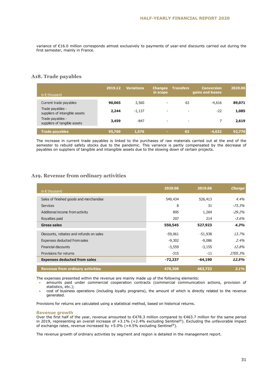variance of €16.0 million corresponds almost exclusively to payments of year-end discounts carried out during the first semester, mainly in France.

#### **A18. Trade payables**

| in $\epsilon$ thousand                             | 2019.12 | <b>Variations</b> | <b>Changes</b><br>in scope | <b>Transfers</b>         | <b>Conversion</b><br>gains and losses | 2020.06 |
|----------------------------------------------------|---------|-------------------|----------------------------|--------------------------|---------------------------------------|---------|
| Current trade payables                             | 90,065  | 3,560             | $\overline{\phantom{a}}$   | 63                       | $-4,616$                              | 89,071  |
| Trade payables -<br>suppliers of intangible assets | 2,244   | $-1,137$          | $\overline{\phantom{a}}$   | $\overline{\phantom{a}}$ | $-22$                                 | 1,085   |
| Trade payables -<br>suppliers of tangible assets   | 3,459   | $-847$            | $\overline{\phantom{a}}$   |                          |                                       | 2,619   |
| <b>Trade payables</b>                              | 95,769  | 1,576             | ×.                         | 63                       | $-4,632$                              | 92,776  |

The increase in current trade payables is linked to the purchases of raw materials carried out at the end of the semester to rebuild safety stocks due to the pandemic. This variance is partly compensated by the decrease of payables on suppliers of tangible and intangible assets due to the slowing down of certain projects.

#### **A19. Revenue from ordinary activities**

| in $\epsilon$ thousand                  | 2020.06   | 2019.06   | <b>Change</b> |
|-----------------------------------------|-----------|-----------|---------------|
| Sales of finished goods and merchandise | 549,434   | 526,413   | 4.4%          |
| <b>Services</b>                         | 8         | 31        | $-73.3\%$     |
| Additional income from activity         | 895       | 1,264     | $-29.2\%$     |
| Royalties paid                          | 207       | 214       | -3.6%         |
| <b>Gross sales</b>                      | 550,545   | 527,923   | 4.3%          |
| Discounts, rebates and refunds on sales | $-59,061$ | $-51,938$ | 13.7%         |
| Expenses deducted from sales            | $-9,302$  | $-9,086$  | 2.4%          |
| <b>Financial discounts</b>              | $-3,559$  | $-3,155$  | 12.8%         |
| Provisions for returns                  | $-315$    | $-11$     | 2705.3%       |
| <b>Expenses deducted from sales</b>     | $-72,237$ | $-64,190$ | 12.5%         |
| <b>Revenue from ordinary activities</b> | 478,308   | 463,733   | 3.1%          |

The expenses presented within the revenue are mainly made up of the following elements:

- amounts paid under commercial cooperation contracts (commercial communication actions, provision of statistics, etc.);
- cost of business operations (including loyalty programs), the amount of which is directly related to the revenue generated.

Provisions for returns are calculated using a statistical method, based on historical returns.

#### **Revenue growth**

Over the first half of the year, revenue amounted to €478.3 million compared to €463.7 million for the same period in 2019, representing an overall increase of +3.1% (+2.4% excluding Sentinel®). Excluding the unfavorable impact of exchange rates, revenue increased by  $+5.0\%$  (+4.5% excluding Sentinel®).

The revenue growth of ordinary activities by segment and region is detailed in the management report.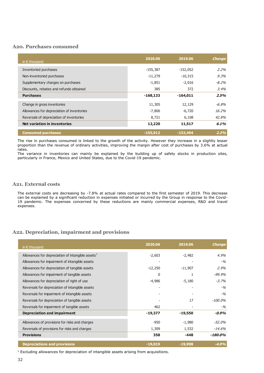#### **A20. Purchases consumed**

| in $\epsilon$ thousand                     | 2020.06    | 2019.06    | <b>Change</b> |
|--------------------------------------------|------------|------------|---------------|
| Inventoried purchases                      | $-155,387$ | $-152,052$ | $2.2\%$       |
| Non-inventoried purchases                  | $-11,279$  | $-10,315$  | 9.3%          |
| Supplementary charges on purchases         | $-1,851$   | $-2,016$   | -8.2%         |
| Discounts, rebates and refunds obtained    | 385        | 372        | $3.4\%$       |
| <b>Purchases</b>                           | $-168,133$ | $-164,011$ | 2.5%          |
| Change in gross inventories                | 11,305     | 12,129     | $-6.8\%$      |
| Allowances for depreciation of inventories | $-7,806$   | $-6,720$   | 16.2%         |
| Reversals of depreciation of inventories   | 8,721      | 6,108      | 42.8%         |
| <b>Net variation in inventories</b>        | 12,220     | 11,517     | 6.1%          |
| <b>Consumed purchases</b>                  | $-155,912$ | $-152,494$ | 2.2%          |

The rise in purchases consumed is linked to the growth of the activity. However they increase in a slightly lesser proportion than the revenue of ordinary activities, improving the margin after cost of purchases by 3.6% at actual rates.

The variance in inventories can mainly be explained by the building up of safety stocks in production sites, particularly in France, Mexico and United States, due to the Covid-19 pandemic.

#### **A21. External costs**

The external costs are decreasing by -7.8% at actual rates compared to the first semester of 2019. This decrease can be explained by a significant reduction in expenses initiated or incurred by the Group in response to the Covid-19 pandemic. The expenses concerned by these reductions are mainly commercial expenses, R&D and travel expenses.

#### **A22. Depreciation, impairment and provisions**

| in $\epsilon$ thousand                               | 2020.06   | 2019.06   | <b>Change</b> |
|------------------------------------------------------|-----------|-----------|---------------|
| Allowances for depreciation of intangible assets $1$ | $-2,603$  | $-2,482$  | 4.9%          |
| Allowances for impairment of intangible assets       |           |           | $-9/0$        |
| Allowances for depreciation of tangible assets       | $-12,250$ | $-11,907$ | 2.9%          |
| Allowances for impairment of tangible assets         | $\Omega$  |           | -99,9%        |
| Allowances for depreciation of right of use          | $-4,986$  | $-5,180$  | $-3.7\%$      |
| Reversals for depreciation of intangible assets      |           |           | $-9/6$        |
| Reversals for impairment of intangible assets        | -         |           | $-9/0$        |
| Reversals for depreciation of tangible assets        |           | 17        | $-100.0\%$    |
| Reversals for impairment of tangible assets          | 462       |           | $-9/0$        |
| <b>Depreciation and impairment</b>                   | $-19,377$ | $-19,550$ | -0.9%         |
| Allowances of provisions for risks and charges       | $-950$    | $-1,980$  | -52.0%        |
| Reversals of provisions for risks and charges        | 1,309     | 1,532     | $-14.6\%$     |
| <b>Provisions</b>                                    | 358       | $-448$    | $-180.0\%$    |
| <b>Depreciations and provisions</b>                  | $-19,019$ | $-19,998$ | $-4.9%$       |

<sup>1</sup> Excluding allowances for depreciation of intangible assets arising from acquisitions.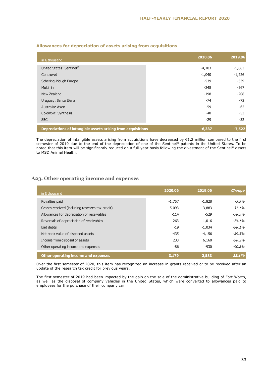| in $\epsilon$ thousand                                       | 2020.06  | 2019.06  |
|--------------------------------------------------------------|----------|----------|
| United States: Sentinel®                                     | $-4,103$ | $-5,063$ |
| Centrovet                                                    | $-1,040$ | $-1,226$ |
| Schering-Plough Europe                                       | $-539$   | $-539$   |
| Multimin                                                     | $-248$   | $-267$   |
| New Zealand                                                  | $-198$   | $-208$   |
| Uruguay: Santa Elena                                         | $-74$    | $-72$    |
| Australia: Axon                                              | -59      | $-62$    |
| Colombia: Synthesis                                          | $-48$    | $-53$    |
| <b>SBC</b>                                                   | $-29$    | $-32$    |
| Depreciations of intangible assets arising from acquisitions | $-6,337$ | $-7,522$ |

#### **Allowances for depreciation of assets arising from acquisitions**

The depreciation of intangible assets arising from acquisitions have decreased by  $E1.2$  million compared to the first semester of 2019 due to the end of the depreciation of one of the Sentinel® patents in the United States. To be noted that this item will be significantly reduced on a full-year basis following the divestment of the Sentinel® assets to MSD Animal Health.

#### **A23. Other operating income and expenses**

| in $\epsilon$ thousand                          | 2020.06  | 2019.06  | <b>Change</b> |
|-------------------------------------------------|----------|----------|---------------|
| Royalties paid                                  | $-1,757$ | $-1,828$ | $-3.9\%$      |
| Grants received (including research tax credit) | 5,093    | 3,883    | 31.1%         |
| Allowances for depreciation of receivables      | $-114$   | $-529$   | $-78.5\%$     |
| Reversals of depreciation of receivables        | 263      | 1,016    | $-74.1%$      |
| Bad debts                                       | $-19$    | $-1,034$ | $-98.1%$      |
| Net book value of disposed assets               | $-435$   | $-4,156$ | $-89.5\%$     |
| Income from disposal of assets                  | 233      | 6,160    | $-96.2\%$     |
| Other operating income and expenses             | -86      | $-930$   | $-90.8%$      |
| Other operating income and expenses             | 3,179    | 2,583    | 23.1%         |

Over the first semester of 2020, this item has recognized an increase in grants received or to be received after an update of the research tax credit for previous years.

The first semester of 2019 had been impacted by the gain on the sale of the administrative building of Fort Worth, as well as the disposal of company vehicles in the United States, which were converted to allowances paid to employees for the purchase of their company car.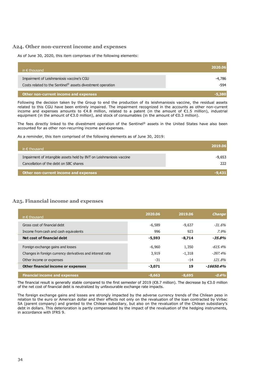#### **A24. Other non-current income and expenses**

As of June 30, 2020, this item comprises of the following elements:

| in $\epsilon$ thousand                                                                                  | 2020.06          |
|---------------------------------------------------------------------------------------------------------|------------------|
| Impairment of Leishmaniosis vaccine's CGU<br>Costs related to the Sentinel® assets divestment operation | -4,786<br>$-594$ |
| Other non-current income and expenses                                                                   |                  |

Following the decision taken by the Group to end the production of its leishmaniosis vaccine, the residual assets related to this CGU have been entirely impaired. The impairment recognized in the accounts as other non-current income and expenses amounts to €4.8 million, related to a patent (in the amount of €1.5 million), industrial equipment (in the amount of €3.0 million), and stock of consumables (in the amount of €0.3 million).

The fees directly linked to the divestment operation of the Sentinel® assets in the United States have also been accounted for as other non-recurring income and expenses.

As a reminder, this item comprised of the following elements as of June 30, 2019:

| in $\epsilon$ thousand                                               | 2019.06 |
|----------------------------------------------------------------------|---------|
| Impairment of intangible assets held by BVT on Leishmaniosis vaccine | -9,653  |
| Cancellation of the debt on SBC shares                               | 222.    |
| Other non-current income and expenses                                |         |

#### **A25. Financial income and expenses**

| in $\epsilon$ thousand                                    | 2020.06  | 2019.06  | <b>Change</b> |
|-----------------------------------------------------------|----------|----------|---------------|
|                                                           |          |          |               |
| Gross cost of financial debt                              | $-6,589$ | $-9,637$ | $-31.6%$      |
| Income from cash and cash equivalents                     | 996      | 923      | $7.9\%$       |
| Net cost of financial debt                                | $-5,593$ | $-8,714$ | $-35.8%$      |
|                                                           |          |          |               |
| Foreign exchange gains and losses                         | $-6,960$ | 1,350    | $-615.4%$     |
| Changes in foreign currency derivatives and interest rate | 3,919    | $-1,318$ | $-397.4\%$    |
| Other income or expenses                                  | $-31$    | $-14$    | 121.8%        |
| <b>Other financial income or expenses</b>                 | $-3,071$ | 19       | $-16650.4\%$  |
| <b>Financial income and expenses</b>                      | $-8,663$ | $-8,695$ | $-0.4%$       |

The financial result is generally stable compared to the first semester of 2019 (€8.7 million). The decrease by €3.0 million of the net cost of financial debt is neutralized by unfavourable exchange rate impacts.

The foreign exchange gains and losses are strongly impacted by the adverse currency trends of the Chilean peso in relation to the euro or American dollar and their effects not only on the revaluation of the loan contracted by Virbac SA (parent company) and granted to the Chilean subsidiary, but also on the revaluation of the Chilean subsidiary's debt in dollars. This deterioration is partly compensated by the impact of the revaluation of the hedging instruments, in accordance with IFRS 9.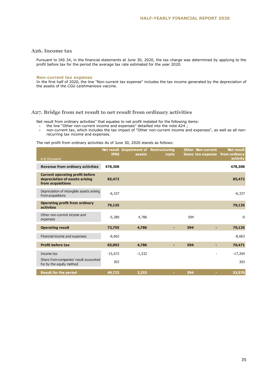#### **A26. Income tax**

Pursuant to IAS 34, in the financial statements at June 30, 2020, the tax charge was determined by applying to the profit before tax for the period the average tax rate estimated for the year 2020.

#### **Non-current tax expense**

In the first half of 2020, the line "Non-current tax expense" includes the tax income generated by the depreciation of the assets of the CGU Leishmaniosis vaccine.

#### **A27. Bridge from net result to net result from ordinary activities**

Net result from ordinary activities" that equates to net profit restated for the following items:

- the line "Other non-current income and expenses" detailled into the note A24 ;
- non-current tax, which includes the tax impact of "Other non-current income and expenses", as well as all nonrecurring tax income and expenses.

The net profit from ordinary activities As of June 30, 2020 stands as follows:

| in $\epsilon$ thousand                                                                        | <b>IFRS</b> | Net result Impairment of Restructuring<br>assets | costs | <b>Other Non-current</b><br>items tax expense |   | <b>Net result</b><br>from ordinary<br>activity |
|-----------------------------------------------------------------------------------------------|-------------|--------------------------------------------------|-------|-----------------------------------------------|---|------------------------------------------------|
| <b>Revenue from ordinary activities</b>                                                       | 478,308     |                                                  |       |                                               |   | 478,308                                        |
| <b>Current operating profit before</b><br>depreciation of assets arising<br>from acquisitions | 85,472      |                                                  |       |                                               |   | 85,472                                         |
| Depreciation of intangible assets arising<br>from acquisitions                                | $-6,337$    |                                                  |       |                                               |   | $-6,337$                                       |
| <b>Operating profit from ordinary</b><br><b>activites</b>                                     | 79,135      |                                                  |       |                                               |   | 79,135                                         |
| Other non-current income and<br>expenses                                                      | $-5,380$    | 4,786                                            |       | 594                                           |   | $-0$                                           |
| <b>Operating result</b>                                                                       | 73,755      | 4,786                                            |       | 594                                           |   | 79,135                                         |
| Financial income and expenses                                                                 | $-8,663$    |                                                  |       |                                               |   | $-8,663$                                       |
| <b>Profit before tax</b>                                                                      | 65,092      | 4,786                                            |       | 594                                           | н | 70,471                                         |
| Income tax                                                                                    | $-15,672$   | $-1,532$                                         |       |                                               |   | $-17,204$                                      |
| Share from companies' result accounted<br>for by the equity method                            | 303         |                                                  |       |                                               |   | 303                                            |
| <b>Result for the period</b>                                                                  | 49,722      | 3,253                                            |       | 594                                           |   | 53,570                                         |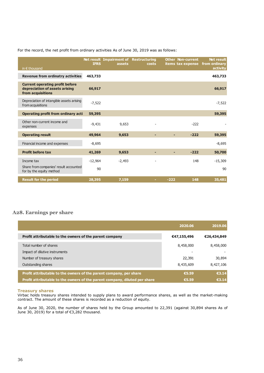#### For the record, the net profit from ordinary activities As of June 30, 2019 was as follows:

| in $\epsilon$ thousand                                                                        | <b>IFRS</b> | Net result Impairment of<br>assets | <b>Restructuring</b><br>costs |        | <b>Other Non-current</b><br>items tax expense | <b>Net result</b><br>from ordinary<br>activity |
|-----------------------------------------------------------------------------------------------|-------------|------------------------------------|-------------------------------|--------|-----------------------------------------------|------------------------------------------------|
| <b>Revenue from ordinatry activities</b>                                                      | 463,733     |                                    |                               |        |                                               | 463,733                                        |
| <b>Current operating profit before</b><br>depreciation of assets arising<br>from acquisitions | 66,917      |                                    |                               |        |                                               | 66,917                                         |
| Depreciation of intangible assets arising<br>from acquisitions                                | $-7,522$    |                                    |                               |        |                                               | $-7,522$                                       |
| Operating profit from ordinary acti                                                           | 59,395      |                                    |                               |        |                                               | 59,395                                         |
| Other non-current income and<br>expenses                                                      | $-9,431$    | 9,653                              |                               |        | $-222$                                        |                                                |
| <b>Operating result</b>                                                                       | 49,964      | 9,653                              | ٠                             |        | $-222$                                        | 59,395                                         |
| Financial income and expenses                                                                 | $-8,695$    |                                    |                               |        |                                               | $-8.695$                                       |
| <b>Profit before tax</b>                                                                      | 41,269      | 9,653                              | ٠                             |        | $-222$                                        | 50,700                                         |
| Income tax                                                                                    | $-12,964$   | $-2,493$                           |                               |        | 148                                           | $-15,309$                                      |
| Share from companies' result accounted<br>for by the equity method                            | 90          |                                    |                               |        |                                               | 90                                             |
| <b>Result for the period</b>                                                                  | 28,395      | 7,159                              |                               | $-222$ | 148                                           | 35,481                                         |

#### **A28. Earnings per share**

|                                                                            | 2020.06     | 2019.06     |
|----------------------------------------------------------------------------|-------------|-------------|
| Profit attributable to the owners of the parent company                    | €47,155,496 | €26,434,849 |
| Total number of shares                                                     | 8,458,000   | 8,458,000   |
| Impact of dilutive instruments                                             |             |             |
| Number of treasury shares                                                  | 22,391      | 30,894      |
| Outstanding shares                                                         | 8,435,609   | 8,427,106   |
| Profit attributable to the owners of the parent company, per share         | €5.59       | €3.14       |
|                                                                            |             |             |
| Profit attributable to the owners of the parent company, diluted per share | €5.59       | €3.14       |

#### **Treasury shares**

Virbac holds treasury shares intended to supply plans to award performance shares, as well as the market-making contract. The amount of these shares is recorded as a reduction of equity.

As of June 30, 2020, the number of shares held by the Group amounted to 22,391 (against 30,894 shares As of June 30, 2019) for a total of €3,282 thousand.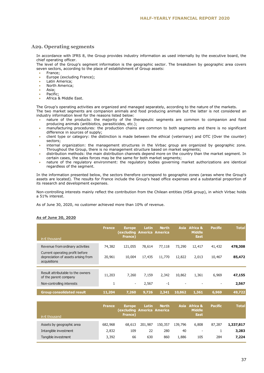#### **A29. Operating segments**

In accordance with IFRS 8, the Group provides industry information as used internally by the executive board, the chief operating officer.

The level of the Group's segment information is the geographic sector. The breakdown by geographic area covers seven sectors, according to the place of establishment of Group assets:

- France;
- Europe (excluding France);
- Latin America;
- North America;
- Asia;
- Pacific;
- Africa & Middle East.

The Group's operating activities are organized and managed separately, according to the nature of the markets. The two market segments are companion animals and food producing animals but the latter is not considered an

industry information level for the reasons listed below:

- nature of the products: the majority of the therapeutic segments are common to companion and food producing animals (antibiotics, parasiticides, etc.);
- manufacturing procedures: the production chains are common to both segments and there is no significant difference in sources of supply;
- client type or category: the distinction is made between the ethical (veterinary) and OTC (Over the counter) sectors;
- internal organization: the management structures in the Virbac group are organized by geographic zone. Throughout the Group, there is no management structure based on market segments;
- distribution methods: the main distribution channels depend more on the country than the market segment. In certain cases, the sales forces may be the same for both market segments;
- nature of the regulatory environment: the regulatory bodies governing market authorizations are identical regardless of the segment.

In the information presented below, the sectors therefore correspond to geographic zones (areas where the Group's assets are located). The results for France include the Group's head office expenses and a substantial proportion of its research and development expenses.

Non-controlling interests mainly reflect the contribution from the Chilean entities (HSA group), in which Virbac holds a 51% interest.

As of June 30, 2020, no customer achieved more than 10% of revenue.

#### **As of June 30, 2020**

| in $\epsilon$ thousand                                                                 | <b>France</b> | <b>Europe</b><br>(excluding America America<br>France) | Latin  | <b>North</b> | Asia   | <b>Africa &amp;</b><br><b>Middle</b><br><b>East</b> | <b>Pacific</b> | <b>Total</b> |
|----------------------------------------------------------------------------------------|---------------|--------------------------------------------------------|--------|--------------|--------|-----------------------------------------------------|----------------|--------------|
| Revenue from ordinary activities                                                       | 74,382        | 121,055                                                | 78,614 | 77,118       | 73,290 | 12,417                                              | 41,432         | 478,308      |
| Current operating profit before<br>depreciation of assets arising from<br>acquisitions | 20,961        | 10,004                                                 | 17,435 | 11,770       | 12,822 | 2,013                                               | 10,467         | 85,472       |
| Result attributable to the owners<br>of the parent company                             | 11,203        | 7,260                                                  | 7,159  | 2,342        | 10,862 | 1,361                                               | 6,969          | 47,155       |
| Non-controlling interests                                                              |               | $\overline{\phantom{a}}$                               | 2,567  | $-1$         |        |                                                     |                | 2,567        |
| <b>Group consolidated result</b>                                                       | 11,204        | 7,260                                                  | 9,726  | 2,341        | 10,862 | 1,361                                               | 6,969          | 49,722       |

| <b>France</b> | <b>Europe</b><br>France) | Latin  | <b>North</b> |                                       | <b>Middle</b><br>East    | <b>Pacific</b>         | <b>Total</b> |
|---------------|--------------------------|--------|--------------|---------------------------------------|--------------------------|------------------------|--------------|
|               |                          |        |              |                                       |                          |                        |              |
|               |                          |        |              |                                       |                          |                        | 1,337,817    |
| 2,832         | 109                      | 22     | 280          | 40                                    | $\overline{\phantom{a}}$ |                        | 3,283        |
| 3,392         | 66                       | 630    | 860          | 1,886                                 | 105                      | 284                    | 7,224        |
|               | 682,968                  | 68,613 | 201,987      | (excluding America America<br>150,357 | 139,796                  | Asia Africa &<br>6,808 | 87,287       |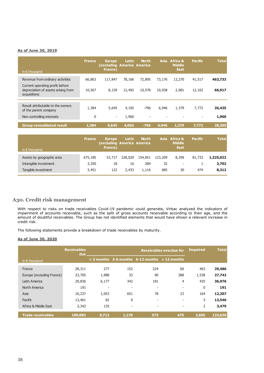#### **As of June 30, 2019**

| in $\epsilon$ thousand                                     | <b>France</b> | <b>Europe</b><br>excluding)<br>France)                 | <b>Latin</b><br><b>America America</b> | <b>North</b> | <b>Asia</b> | <b>Africa &amp;</b><br><b>Middle</b><br><b>East</b> | <b>Pacific</b> | <b>Total</b> |
|------------------------------------------------------------|---------------|--------------------------------------------------------|----------------------------------------|--------------|-------------|-----------------------------------------------------|----------------|--------------|
| Revenue from ordinary activities                           | 66,863        | 117,847                                                | 78,166                                 | 72,895       | 73,176      | 13,270                                              | 41,517         | 463,733      |
| Current operating profit before                            |               |                                                        |                                        |              |             |                                                     |                |              |
| depreciation of assets arising from<br>acquisitions        | 10,567        | 8,159                                                  | 12,492                                 | 10,578       | 10,938      | 2,081                                               | 12,102         | 66,917       |
|                                                            |               |                                                        |                                        |              |             |                                                     |                |              |
| Result attributable to the owners<br>of the parent company | 1,384         | 5,645                                                  | 4,105                                  | $-796$       | 6,946       | 1,379                                               | 7,772          | 26,435       |
| Non-controlling interests                                  | $\mathbf 0$   | $\overline{\phantom{a}}$                               | 1,960                                  |              |             |                                                     |                | 1,960        |
| <b>Group consolidated result</b>                           | 1,384         | 5,645                                                  | 6,065                                  | $-796$       | 6,946       | 1,379                                               | 7,772          | 28,395       |
|                                                            |               |                                                        |                                        |              |             |                                                     |                |              |
| in $\epsilon$ thousand                                     | <b>France</b> | <b>Europe</b><br>(excluding America America<br>France) | Latin                                  | <b>North</b> | <b>Asia</b> | <b>Africa &amp;</b><br><b>Middle</b><br><b>East</b> | <b>Pacific</b> | <b>Total</b> |
| Assets by geographic area                                  | 675,185       | 53,717                                                 | 228,029                                | 154,851      | 123,209     | 8,299                                               | 81,733         | 1,325,022    |

#### **A30. Credit risk management**

With respect to risks on trade receivables Covid-19 pandemic could generate, Virbac analyzed the indicators of impairment of accounts receivable, such as the split of gross accounts receivable according to their age, and the amount of doubtful receivables. The Group has not identified elements that would have shown a relevant increase in credit risk.

Intangible investment 3,350 18 16 284 32 - 1 **3,702** Tangible investment 3,451 122 2,433 1,116 685 30 474 **8,312**

The following statements provide a breakdown of trade receivables by maturity.

#### **As of June 30, 2020**

|                           | <b>Receivables</b><br>due |       |                          | <b>Impaired</b>                                      | <b>Total</b>             |             |         |
|---------------------------|---------------------------|-------|--------------------------|------------------------------------------------------|--------------------------|-------------|---------|
| in $\epsilon$ thousand    |                           |       |                          | $\leq$ 3 months 3-6 months 6-12 months $>$ 12 months |                          |             |         |
| France                    | 28,311                    | 277   | 152                      | 224                                                  | 60                       | 463         | 29,486  |
| Europe (excluding France) | 23,705                    | 1,988 | 33                       | 90                                                   | 388                      | 1,538       | 27,742  |
| Latin America             | 29,836                    | 6,177 | 342                      | 181                                                  | 4                        | 435         | 36,976  |
| North America             | 191                       |       | $\overline{\phantom{a}}$ | $\overline{\phantom{a}}$                             | $\overline{\phantom{a}}$ | $\mathbf 0$ | 191     |
| Asia                      | 10,237                    | 1,053 | 651                      | 78                                                   | 23                       | 164         | 12,207  |
| Pacific                   | 13,461                    | 82    | 0                        | $\overline{\phantom{a}}$                             | $\overline{\phantom{0}}$ | 3           | 13,546  |
| Africa & Middle East      | 3,342                     | 135   | $\overline{\phantom{a}}$ | $\overline{\phantom{a}}$                             | $\overline{\phantom{a}}$ | 2           | 3,479   |
| <b>Trade receivables</b>  | 109,083                   | 9,712 | 1,178                    | 573                                                  | 475                      | 2.605       | 123,626 |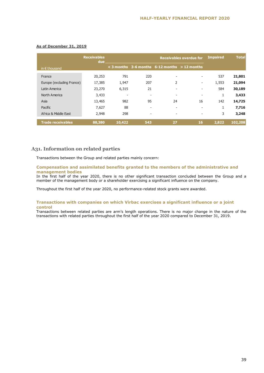|                           | <b>Receivables</b><br>due |                          | <b>Impaired</b>          | <b>Total</b>                                      |                          |       |         |
|---------------------------|---------------------------|--------------------------|--------------------------|---------------------------------------------------|--------------------------|-------|---------|
| in $\epsilon$ thousand    |                           |                          |                          | $<$ 3 months 3-6 months 6-12 months $>$ 12 months |                          |       |         |
| France                    | 20,253                    | 791                      | 220                      | $\overline{\phantom{a}}$                          |                          | 537   | 21,801  |
| Europe (excluding France) | 17,385                    | 1,947                    | 207                      | 2                                                 | -                        | 1,553 | 21,094  |
| Latin America             | 23,270                    | 6,315                    | 21                       | $\overline{\phantom{a}}$                          | $\overline{\phantom{a}}$ | 584   | 30,189  |
| North America             | 3,433                     | $\overline{\phantom{0}}$ | $\overline{\phantom{a}}$ | $\overline{\phantom{a}}$                          | $\overline{\phantom{a}}$ | 1     | 3,433   |
| Asia                      | 13,465                    | 982                      | 95                       | 24                                                | 16                       | 142   | 14,725  |
| Pacific                   | 7,627                     | 88                       | $\overline{\phantom{a}}$ | $\overline{\phantom{a}}$                          |                          | 1     | 7,716   |
| Africa & Middle East      | 2,948                     | 298                      | $\overline{\phantom{a}}$ | $\overline{\phantom{a}}$                          | $\overline{\phantom{a}}$ | 3     | 3,248   |
| <b>Trade receivables</b>  | 88,380                    | 10,422                   | 543                      | 27                                                | 16                       | 2,822 | 102,208 |

#### **As of December 31, 2019**

#### **A31. Information on related parties**

Transactions between the Group and related parties mainly concern:

#### **Compensation and assimilated benefits granted to the members of the administrative and management bodies**

In the first half of the year 2020, there is no other significant transaction concluded between the Group and a member of the management body or a shareholder exercising a significant influence on the company.

Throughout the first half of the year 2020, no performance-related stock grants were awarded.

#### **Transactions with companies on which Virbac exercises a significant influence or a joint control**

Transactions between related parties are arm's length operations. There is no major change in the nature of the transactions with related parties throughout the first half of the year 2020 compared to December 31, 2019.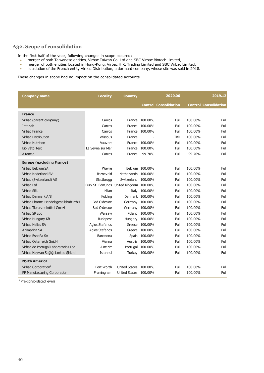## **A32. Scope of consolidation**

In the first half of the year, following changes in scope occured:

- merger of both Taiwanese entities, Virbac Taïwan Co. Ltd and SBC Virbac Biotech Limited,
- merger of both entities located in Hong-Kong, Virbac H.K. Trading Limited and SBC Virbac Limited,
- liquidation of the French entity Virbac Distribution, a dormant company, whose site was sold in 2018.

These changes in scope had no impact on the consolidated accounts.

| <b>Company name</b>                   | <b>Locality</b>                         | <b>Country</b>        | 2020.06          |                              |         | 2019.12                      |
|---------------------------------------|-----------------------------------------|-----------------------|------------------|------------------------------|---------|------------------------------|
|                                       |                                         |                       |                  | <b>Control Consolidation</b> |         | <b>Control Consolidation</b> |
| <b>France</b>                         |                                         |                       |                  |                              |         |                              |
| Virbac (parent company)               | Carros                                  |                       | France 100.00%   | Full                         | 100.00% | Full                         |
| Interlab                              | Carros                                  | France                | 100.00%          | Full                         | 100.00% | Full                         |
| <b>Virbac France</b>                  | Carros                                  |                       | France 100.00%   | Full                         | 100.00% | Full                         |
| <b>Virbac Distribution</b>            | Wissous                                 | France                |                  | <b>TBD</b>                   | 100.00% | Full                         |
| <b>Virbac Nutrition</b>               | Vauvert                                 |                       | France 100.00%   | Full                         | 100.00% | Full                         |
| <b>Bio Véto Test</b>                  | La Seyne sur Mer                        | France                | 100.00%          | Full                         | 100.00% | Full                         |
| Alfamed                               | Carros                                  | France                | 99.70%           | Full                         | 99.70%  | Full                         |
| <b>Europe (excluding France)</b>      |                                         |                       |                  |                              |         |                              |
| Virbac Belgium SA                     | Wavre                                   |                       | Belgium 100.00%  | Full                         | 100.00% | Full                         |
| Virbac Nederland $BV1$                | Barneveld                               | Netherlands 100.00%   |                  | Full                         | 100.00% | Full                         |
| Virbac (Switzerland) AG               | Glattbrugg                              | Switzerland 100.00%   |                  | Full                         | 100.00% | Full                         |
| Virbac Ltd                            | Bury St. Edmunds United Kingdom 100.00% |                       |                  | Full                         | 100.00% | Full                         |
| <b>Virbac SRL</b>                     | Milan                                   | Italy                 | 100.00%          | Full                         | 100.00% | Full                         |
| Virbac Danmark A/S                    | Kolding                                 |                       | Denmark 100.00%  | Full                         | 100.00% | Full                         |
| Virbac Pharma Handelsgesellshaft mbH  | <b>Bad Oldesloe</b>                     |                       | Germany 100.00%  | Full                         | 100.00% | Full                         |
| Virbac Tierarzneimittel GmbH          | <b>Bad Oldesloe</b>                     |                       | Germany 100.00%  | Full                         | 100.00% | Full                         |
| Virbac SP zoo                         | Warsaw                                  |                       | Poland 100,00%   | Full                         | 100.00% | Full                         |
| Virbac Hungary Kft                    | Budapest                                |                       | Hungary 100.00%  | Full                         | 100.00% | Full                         |
| Virbac Hellas SA                      | Agios Stefanos                          |                       | Greece 100.00%   | Full                         | 100.00% | Full                         |
| Animedica SA                          | Agios Stefanos                          |                       | Greece 100.00%   | Full                         | 100.00% | Full                         |
| Virbac España SA                      | Barcelona                               |                       | Spain 100.00%    | Full                         | 100.00% | Full                         |
| Virbac Österreich GmbH                | Vienna                                  | Austria               | 100.00%          | Full                         | 100.00% | Full                         |
| Virbac de Portugal Laboratorios Lda   | Almerim                                 |                       | Portugal 100.00% | Full                         | 100.00% | Full                         |
| Virbac Hayvan Sağlığı Limited Şirketi | Istanbul                                |                       | Turkey 100.00%   | Full                         | 100.00% | Full                         |
| <b>North America</b>                  |                                         |                       |                  |                              |         |                              |
| Virbac Corporation <sup>1</sup>       | Fort Worth                              | United States 100.00% |                  | Full                         | 100.00% | Full                         |
| PP Manufacturing Corporation          | Framingham                              | United States 100.00% |                  | Full                         | 100.00% | Full                         |

<sup>1</sup> Pre-consolidated levels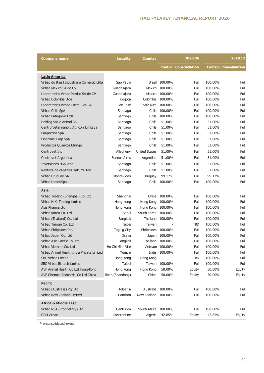| Company name                               | <b>Locality</b>     | <b>Country</b>       | 2020.06           |                              |         | 2019.12                      |
|--------------------------------------------|---------------------|----------------------|-------------------|------------------------------|---------|------------------------------|
|                                            |                     |                      |                   | <b>Control Consolidation</b> |         | <b>Control Consolidation</b> |
| <b>Latin America</b>                       |                     |                      |                   |                              |         |                              |
| Virbac do Brasil Industria e Comercio Ltda | São Paulo           |                      | Brazil 100.00%    | Full                         | 100.00% | Full                         |
| Virbac Mexico SA de CV                     | Guadalajara         | Mexico               | 100.00%           | Full                         | 100.00% | Full                         |
| Laboratorios Virbac Mexico SA de CV        | Guadalajara         |                      | Mexico 100.00%    | Full                         | 100.00% | Full                         |
| Virbac Colombia Ltda                       | Bogota              | Colombia             | 100.00%           | Full                         | 100.00% | Full                         |
| Laboratorios Virbac Costa Rica SA          | San José            | Costa Rica           | 100.00%           | Full                         | 100.00% | Full                         |
| Virbac Chile SpA                           | Santiago            | Chile                | 100.00%           | Full                         | 100.00% | Full                         |
| Virbac Patagonia Ltda                      | Santiago            |                      | Chile 100.00%     | Full                         | 100.00% | Full                         |
| <b>Holding Salud Animal SA</b>             | Santiago            | Chile                | 51.00%            | Full                         | 51.00%  | Full                         |
| Centro Veterinario y Agricola Limitada     | Santiago            | Chile                | 51.00%            | Full                         | 51.00%  | Full                         |
| Farquimica SpA                             | Santiago            | Chile                | 51.00%            | Full                         | 51.00%  | Full                         |
| <b>Bioanimal Corp SpA</b>                  | Santiago            | Chile                | 51.00%            | Full                         | 51.00%  | Full                         |
| Productos Quimicos Ehlinger                | Santiago            | Chile                | 51.00%            | Full                         | 51.00%  | Full                         |
| Centrovet Inc                              | Allegheny           | <b>United States</b> | 51.00%            | Full                         | 51.00%  | Full                         |
| Centrovet Argentina                        | <b>Buenos Aires</b> | Argentina            | 51.00%            | Full                         | 51.00%  | Full                         |
| Inversiones HSA Ltda                       | Santiago            | Chile                | 51.00%            | Full                         | 51.00%  | Full                         |
| Rentista de capitales Takumi Ltda          | Santiago            | Chile                | 51.00%            | Full                         | 51.00%  | Full                         |
| Virbac Uruguay SA                          | Montevideo          | Uruguay              | 99.17%            | Full                         | 99.17%  | Full                         |
| Virbac Latam Spa                           | Santiago            | Chile                | 100.00%           | Full                         | 100.00% | Full                         |
|                                            |                     |                      |                   |                              |         |                              |
| <b>Asia</b>                                |                     |                      |                   |                              |         |                              |
| Virbac Trading (Shanghai) Co. Ltd          | Shanghai            | China                | 100.00%           | Full                         | 100.00% | Full                         |
| Virbac H.K. Trading Limited                | Hong Kong           | Hong Kong            | 100.00%           | Full                         | 100.00% | Full                         |
| Asia Pharma Ltd                            | Hong Kong           | Hong Kong            | 100.00%           | Full                         | 100.00% | Full                         |
| Virbac Korea Co. Ltd                       | Seoul               | South Korea 100.00%  |                   | Full                         | 100.00% | Full                         |
| Virbac (Thailand) Co. Ltd                  | Bangkok             |                      | Thailand 100.00%  | Full                         | 100.00% | Full                         |
| Virbac Taiwan Co. Ltd                      | Taipei              | Taiwan               |                   | TBD                          | 100.00% | Full                         |
| Virbac Philippines Inc.                    | Taguig City         | Philippines 100.00%  |                   | Full                         | 100.00% | Full                         |
| Virbac Japan Co. Ltd                       | Osaka               |                      | Japan 100.00%     | Full                         | 100.00% | Full                         |
| Virbac Asia Pacific Co. Ltd                | <b>Bangkok</b>      |                      | Thailand 100.00%  | Full                         | 100.00% | Full                         |
| Virbac Vietnam Co. Ltd                     | Ho Chi Minh Ville   |                      | Vietnam 100.00%   | Full                         | 100.00% | Full                         |
| Virbac Animal Health India Private Limited | Mumbai              |                      | India 100.00%     | Full                         | 100.00% | Full                         |
| <b>SBC Virbac Limited</b>                  | Hong Kong           | Hong Kong            |                   | TBD                          | 100.00% | Full                         |
| SBC Virbac Biotech Limited                 | Taipei              |                      | Taiwan 100.00%    | Full                         | 100.00% | Full                         |
| AVF Animal Health Co Ltd Hong-Kong         | Hong Kong           | Hong Kong            | 50.00%            | Equity                       | 50.00%  | Equity                       |
| AVF Chemical Industrial Co Ltd China       | Jinan (Shandong)    | China                | 50.00%            | Equity                       | 50.00%  | Equity                       |
| <b>Pacific</b>                             |                     |                      |                   |                              |         |                              |
| Virbac (Australia) Pty Ltd <sup>1</sup>    | Milperra            |                      | Australia 100.00% | Full                         | 100.00% | Full                         |
| Virbac New Zealand Limited                 | Hamilton            | New Zealand 100.00%  |                   | Full                         | 100.00% | Full                         |
|                                            |                     |                      |                   |                              |         |                              |
| <b>Africa &amp; Middle East</b>            |                     |                      |                   |                              |         |                              |
| Virbac RSA (Proprietary) Ltd <sup>1</sup>  | Centurion           | South Africa 100.00% |                   | Full                         | 100.00% | Full                         |
| <b>GPM Virbac</b>                          | Constantine         | Algeria              | 42.85%            | Equity                       | 42.85%  | Equity                       |

<sup>1</sup> Pre-consolidated levels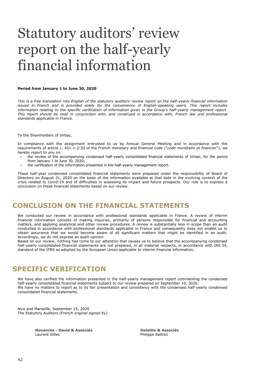## Statutory auditors' review report on the half-yearly financial information

#### **Period from January 1 to June 30, 2020**

*This is a free translation into English of the statutory auditors' review report on the half-yearly financial information issued in French and is provided solely for the convenience of English-speaking users. This report includes*  information relating to the specific verification of information given in the Group's half-yearly management report. *This report should be read in conjunction with, and construed in accordance with, French law and professional standards applicable in France.*

#### To the Shareholders of Virbac,

In compliance with the assignment entrusted to us by Annual General Meeting and in accordance with the requirements of article L. 451-1-2-III of the French monetary and financial code ("*code monétaire et financier*"), we hereby report to you on:

- the review of the accompanying condensed half-yearly consolidated financial statements of Virbac, for the period from January 1 to June 30, 2020;
- the verification of the information presented in the half-yearly management report.

These half-year condensed consolidated financial statements were prepared under the responsibility of Board of Directors on August 31, 2020 on the basis of the information available at that date in the evolving context of the crisis related to Covid-19 and of difficulties in assessing its impact and future prospects. Our role is to express a conclusion on these financial statements based on our review.

## **CONCLUSION ON THE FINANCIAL STATEMENTS**

We conducted our review in accordance with professional standards applicable in France. A review of interim financial information consists of making inquiries, primarily of persons responsible for financial and accounting matters, and applying analytical and other review procedures. A review is substantially less in scope than an audit conducted in accordance with professional standards applicable in France and consequently does not enable us to obtain assurance that we would become aware of all significant matters that might be identified in an audit. Accordingly, we do not express an audit opinion.

Based on our review, nothing has come to our attention that causes us to believe that the accompanying condensed half-yearly consolidated financial statements are not prepared, in all material respects, in accordance with IAS 34, standard of the IFRS as adopted by the European Union applicable to interim financial information..

## **SPECIFIC VERIFICATION**

We have also verified the information presented in the half-yearly management report commenting the condensed half-yearly consolidated financial statements subject to our review prepared on September 10, 2020. We have no matters to report as to its fair presentation and consistency with the condensed half-yearly condensed consolidated financial statements.

Nice and Marseille, September 15, 2020 The Statutory Auditors (*French original signed by*)

> **Novances - David & Associés Deloitte & Associés** Laurent Gilles **Philippe Battisti**